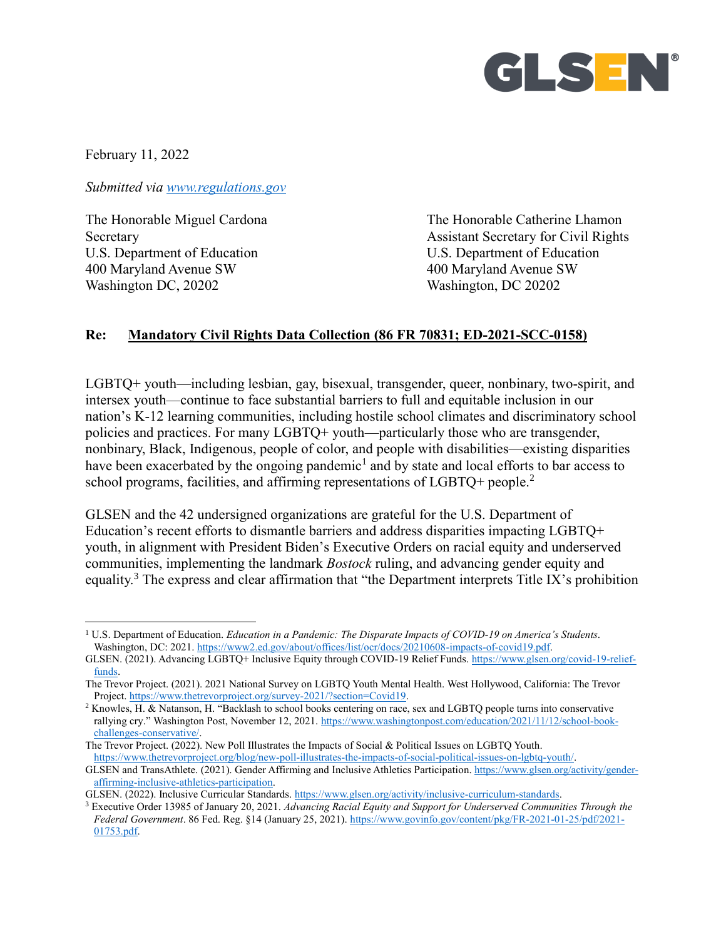

February 11, 2022

 $\overline{a}$ 

*Submitted via [www.regulations.gov](http://www.regulations.gov/)*

U.S. Department of Education U.S. Department of Education 400 Maryland Avenue SW 400 Maryland Avenue SW Washington DC, 20202 Washington, DC 20202

The Honorable Miguel Cardona The Honorable Catherine Lhamon Secretary **Assistant Secretary for Civil Rights** 

### **Re: Mandatory Civil Rights Data Collection (86 FR 70831; ED-2021-SCC-0158)**

LGBTQ+ youth—including lesbian, gay, bisexual, transgender, queer, nonbinary, two-spirit, and intersex youth—continue to face substantial barriers to full and equitable inclusion in our nation's K-12 learning communities, including hostile school climates and discriminatory school policies and practices. For many LGBTQ+ youth—particularly those who are transgender, nonbinary, Black, Indigenous, people of color, and people with disabilities—existing disparities have been exacerbated by the ongoing pandemic<sup>1</sup> and by state and local efforts to bar access to school programs, facilities, and affirming representations of LGBTQ+ people.<sup>2</sup>

GLSEN and the 42 undersigned organizations are grateful for the U.S. Department of Education's recent efforts to dismantle barriers and address disparities impacting LGBTQ+ youth, in alignment with President Biden's Executive Orders on racial equity and underserved communities, implementing the landmark *Bostock* ruling, and advancing gender equity and equality.<sup>3</sup> The express and clear affirmation that "the Department interprets Title IX's prohibition

<sup>1</sup> U.S. Department of Education. *Education in a Pandemic: The Disparate Impacts of COVID-19 on America's Students*. Washington, DC: 2021[. https://www2.ed.gov/about/offices/list/ocr/docs/20210608-impacts-of-covid19.pdf.](https://www2.ed.gov/about/offices/list/ocr/docs/20210608-impacts-of-covid19.pdf)

GLSEN. (2021). Advancing LGBTQ+ Inclusive Equity through COVID-19 Relief Funds. [https://www.glsen.org/covid-19-relief](https://www.glsen.org/covid-19-relief-funds)[funds.](https://www.glsen.org/covid-19-relief-funds)

The Trevor Project. (2021). 2021 National Survey on LGBTQ Youth Mental Health. West Hollywood, California: The Trevor Project. [https://www.thetrevorproject.org/survey-2021/?section=Covid19.](https://www.thetrevorproject.org/survey-2021/?section=Covid19)

<sup>2</sup> Knowles, H. & Natanson, H. "Backlash to school books centering on race, sex and LGBTQ people turns into conservative rallying cry." Washington Post, November 12, 2021[. https://www.washingtonpost.com/education/2021/11/12/school-book](https://www.washingtonpost.com/education/2021/11/12/school-book-challenges-conservative/)[challenges-conservative/.](https://www.washingtonpost.com/education/2021/11/12/school-book-challenges-conservative/)

The Trevor Project. (2022). New Poll Illustrates the Impacts of Social & Political Issues on LGBTQ Youth. [https://www.thetrevorproject.org/blog/new-poll-illustrates-the-impacts-of-social-political-issues-on-lgbtq-youth/.](https://www.thetrevorproject.org/blog/new-poll-illustrates-the-impacts-of-social-political-issues-on-lgbtq-youth/)

GLSEN and TransAthlete. (2021). Gender Affirming and Inclusive Athletics Participation[. https://www.glsen.org/activity/gender](https://www.glsen.org/activity/gender-affirming-inclusive-athletics-participation)[affirming-inclusive-athletics-participation.](https://www.glsen.org/activity/gender-affirming-inclusive-athletics-participation)

GLSEN. (2022). Inclusive Curricular Standards[. https://www.glsen.org/activity/inclusive-curriculum-standards.](https://www.glsen.org/activity/inclusive-curriculum-standards)

<sup>3</sup> Executive Order 13985 of January 20, 2021. *Advancing Racial Equity and Support for Underserved Communities Through the Federal Government*. 86 Fed. Reg. §14 (January 25, 2021). [https://www.govinfo.gov/content/pkg/FR-2021-01-25/pdf/2021-](https://www.govinfo.gov/content/pkg/FR-2021-01-25/pdf/2021-01753.pdf) [01753.pdf.](https://www.govinfo.gov/content/pkg/FR-2021-01-25/pdf/2021-01753.pdf)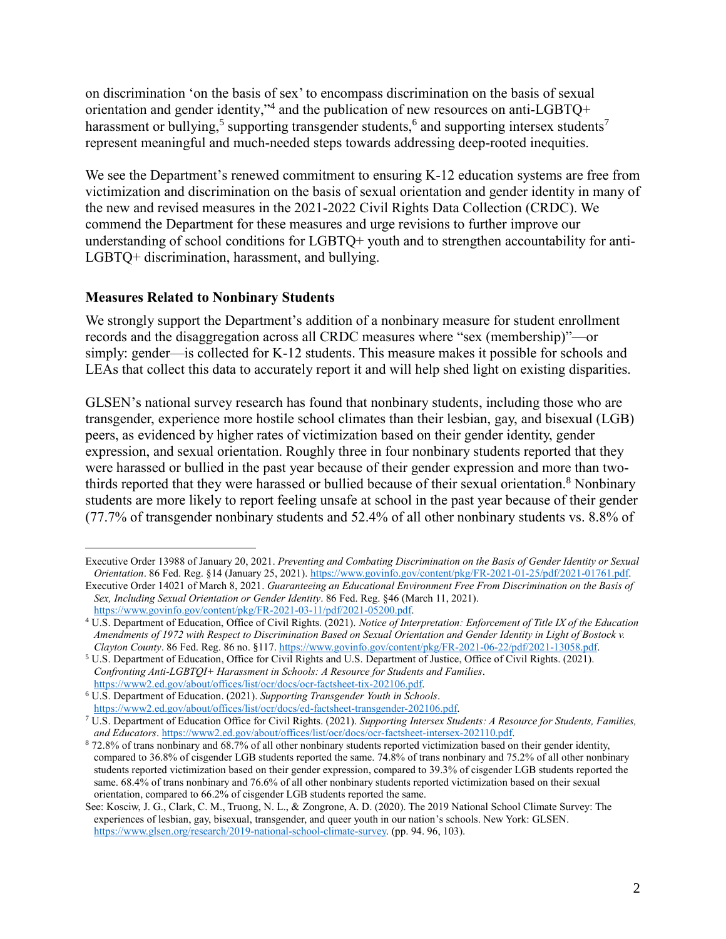on discrimination 'on the basis of sex' to encompass discrimination on the basis of sexual orientation and gender identity,"<sup>4</sup> and the publication of new resources on anti-LGBTQ+ harassment or bullying,<sup>5</sup> supporting transgender students,<sup>6</sup> and supporting intersex students<sup>7</sup> represent meaningful and much-needed steps towards addressing deep-rooted inequities.

We see the Department's renewed commitment to ensuring K-12 education systems are free from victimization and discrimination on the basis of sexual orientation and gender identity in many of the new and revised measures in the 2021-2022 Civil Rights Data Collection (CRDC). We commend the Department for these measures and urge revisions to further improve our understanding of school conditions for LGBTQ+ youth and to strengthen accountability for anti-LGBTQ+ discrimination, harassment, and bullying.

### **Measures Related to Nonbinary Students**

 $\overline{a}$ 

We strongly support the Department's addition of a nonbinary measure for student enrollment records and the disaggregation across all CRDC measures where "sex (membership)"—or simply: gender—is collected for K-12 students. This measure makes it possible for schools and LEAs that collect this data to accurately report it and will help shed light on existing disparities.

GLSEN's national survey research has found that nonbinary students, including those who are transgender, experience more hostile school climates than their lesbian, gay, and bisexual (LGB) peers, as evidenced by higher rates of victimization based on their gender identity, gender expression, and sexual orientation. Roughly three in four nonbinary students reported that they were harassed or bullied in the past year because of their gender expression and more than twothirds reported that they were harassed or bullied because of their sexual orientation.<sup>8</sup> Nonbinary students are more likely to report feeling unsafe at school in the past year because of their gender (77.7% of transgender nonbinary students and 52.4% of all other nonbinary students vs. 8.8% of

Executive Order 13988 of January 20, 2021. *Preventing and Combating Discrimination on the Basis of Gender Identity or Sexual Orientation*. 86 Fed. Reg. §14 (January 25, 2021). [https://www.govinfo.gov/content/pkg/FR-2021-01-25/pdf/2021-01761.pdf.](https://www.govinfo.gov/content/pkg/FR-2021-01-25/pdf/2021-01761.pdf)

Executive Order 14021 of March 8, 2021. *Guaranteeing an Educational Environment Free From Discrimination on the Basis of Sex, Including Sexual Orientation or Gender Identity*. 86 Fed. Reg. §46 (March 11, 2021). [https://www.govinfo.gov/content/pkg/FR-2021-03-11/pdf/2021-05200.pdf.](https://www.govinfo.gov/content/pkg/FR-2021-03-11/pdf/2021-05200.pdf)

<sup>4</sup> U.S. Department of Education, Office of Civil Rights. (2021). *Notice of Interpretation: Enforcement of Title IX of the Education Amendments of 1972 with Respect to Discrimination Based on Sexual Orientation and Gender Identity in Light of Bostock v. Clayton County*. 86 Fed. Reg. 86 no. §117[. https://www.govinfo.gov/content/pkg/FR-2021-06-22/pdf/2021-13058.pdf.](https://www.govinfo.gov/content/pkg/FR-2021-06-22/pdf/2021-13058.pdf)

<sup>5</sup> U.S. Department of Education, Office for Civil Rights and U.S. Department of Justice, Office of Civil Rights. (2021). *Confronting Anti-LGBTQI+ Harassment in Schools: A Resource for Students and Families*. [https://www2.ed.gov/about/offices/list/ocr/docs/ocr-factsheet-tix-202106.pdf.](https://www2.ed.gov/about/offices/list/ocr/docs/ocr-factsheet-tix-202106.pdf)

<sup>6</sup> U.S. Department of Education. (2021). *Supporting Transgender Youth in Schools*. [https://www2.ed.gov/about/offices/list/ocr/docs/ed-factsheet-transgender-202106.pdf.](https://www2.ed.gov/about/offices/list/ocr/docs/ed-factsheet-transgender-202106.pdf)

<sup>7</sup> U.S. Department of Education Office for Civil Rights. (2021). *Supporting Intersex Students: A Resource for Students, Families, and Educators*[. https://www2.ed.gov/about/offices/list/ocr/docs/ocr-factsheet-intersex-202110.pdf.](https://www2.ed.gov/about/offices/list/ocr/docs/ocr-factsheet-intersex-202110.pdf)

<sup>8</sup> 72.8% of trans nonbinary and 68.7% of all other nonbinary students reported victimization based on their gender identity, compared to 36.8% of cisgender LGB students reported the same. 74.8% of trans nonbinary and 75.2% of all other nonbinary students reported victimization based on their gender expression, compared to 39.3% of cisgender LGB students reported the same. 68.4% of trans nonbinary and 76.6% of all other nonbinary students reported victimization based on their sexual orientation, compared to 66.2% of cisgender LGB students reported the same.

See: Kosciw, J. G., Clark, C. M., Truong, N. L., & Zongrone, A. D. (2020). The 2019 National School Climate Survey: The experiences of lesbian, gay, bisexual, transgender, and queer youth in our nation's schools. New York: GLSEN. [https://www.glsen.org/research/2019-national-school-climate-survey.](https://www.glsen.org/research/2019-national-school-climate-survey) (pp. 94. 96, 103).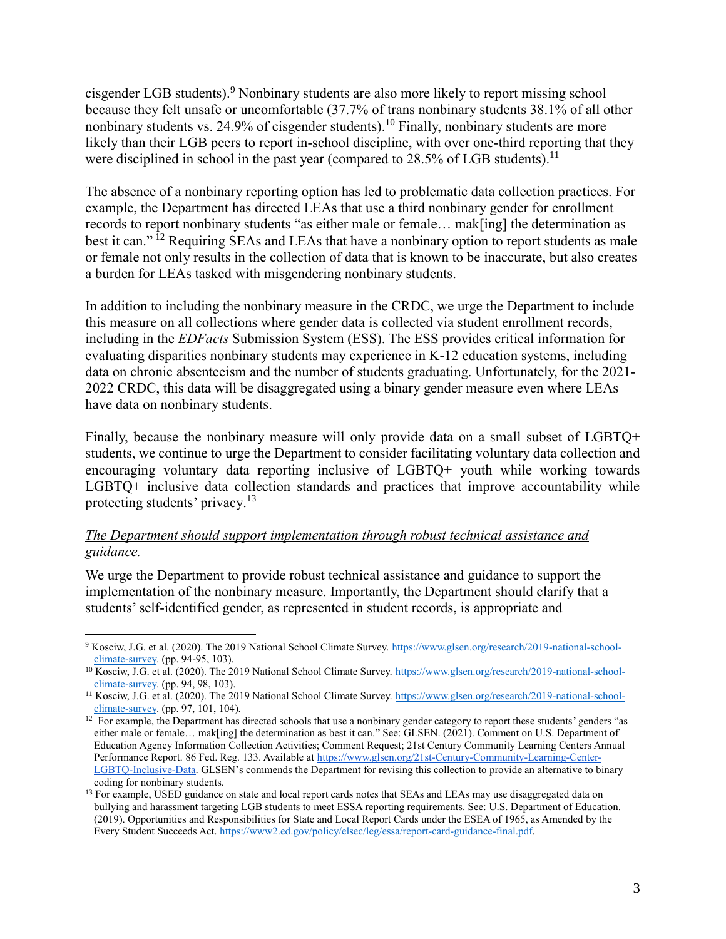cisgender LGB students).<sup>9</sup> Nonbinary students are also more likely to report missing school because they felt unsafe or uncomfortable (37.7% of trans nonbinary students 38.1% of all other nonbinary students vs. 24.9% of cisgender students).<sup>10</sup> Finally, nonbinary students are more likely than their LGB peers to report in-school discipline, with over one-third reporting that they were disciplined in school in the past year (compared to  $28.5\%$  of LGB students).<sup>11</sup>

The absence of a nonbinary reporting option has led to problematic data collection practices. For example, the Department has directed LEAs that use a third nonbinary gender for enrollment records to report nonbinary students "as either male or female… mak[ing] the determination as best it can."<sup>12</sup> Requiring SEAs and LEAs that have a nonbinary option to report students as male or female not only results in the collection of data that is known to be inaccurate, but also creates a burden for LEAs tasked with misgendering nonbinary students.

In addition to including the nonbinary measure in the CRDC, we urge the Department to include this measure on all collections where gender data is collected via student enrollment records, including in the *EDFacts* Submission System (ESS). The ESS provides critical information for evaluating disparities nonbinary students may experience in K-12 education systems, including data on chronic absenteeism and the number of students graduating. Unfortunately, for the 2021- 2022 CRDC, this data will be disaggregated using a binary gender measure even where LEAs have data on nonbinary students.

Finally, because the nonbinary measure will only provide data on a small subset of LGBTQ+ students, we continue to urge the Department to consider facilitating voluntary data collection and encouraging voluntary data reporting inclusive of LGBTQ+ youth while working towards LGBTQ+ inclusive data collection standards and practices that improve accountability while protecting students' privacy.<sup>13</sup>

## *The Department should support implementation through robust technical assistance and guidance.*

We urge the Department to provide robust technical assistance and guidance to support the implementation of the nonbinary measure. Importantly, the Department should clarify that a students' self-identified gender, as represented in student records, is appropriate and

 $\overline{a}$ <sup>9</sup> Kosciw, J.G. et al. (2020). The 2019 National School Climate Survey[. https://www.glsen.org/research/2019-national-school](https://www.glsen.org/research/2019-national-school-climate-survey)[climate-survey.](https://www.glsen.org/research/2019-national-school-climate-survey) (pp. 94-95, 103).

<sup>&</sup>lt;sup>10</sup> Kosciw, J.G. et al. (2020). The 2019 National School Climate Survey[. https://www.glsen.org/research/2019-national-school](https://www.glsen.org/research/2019-national-school-climate-survey)[climate-survey.](https://www.glsen.org/research/2019-national-school-climate-survey) (pp. 94, 98, 103).

<sup>11</sup> Kosciw, J.G. et al. (2020). The 2019 National School Climate Survey[. https://www.glsen.org/research/2019-national-school](https://www.glsen.org/research/2019-national-school-climate-survey)[climate-survey.](https://www.glsen.org/research/2019-national-school-climate-survey) (pp. 97, 101, 104).

<sup>&</sup>lt;sup>12</sup> For example, the Department has directed schools that use a nonbinary gender category to report these students' genders "as either male or female… mak[ing] the determination as best it can." See: GLSEN. (2021). Comment on U.S. Department of Education Agency Information Collection Activities; Comment Request; 21st Century Community Learning Centers Annual Performance Report. 86 Fed. Reg. 133. Available a[t https://www.glsen.org/21st-Century-Community-Learning-Center-](https://www.glsen.org/21st-Century-Community-Learning-Center-LGBTQ-Inclusive-Data)[LGBTQ-Inclusive-Data.](https://www.glsen.org/21st-Century-Community-Learning-Center-LGBTQ-Inclusive-Data) GLSEN's commends the Department for revising this collection to provide an alternative to binary coding for nonbinary students.

<sup>&</sup>lt;sup>13</sup> For example, USED guidance on state and local report cards notes that SEAs and LEAs may use disaggregated data on bullying and harassment targeting LGB students to meet ESSA reporting requirements. See: U.S. Department of Education. (2019). Opportunities and Responsibilities for State and Local Report Cards under the ESEA of 1965, as Amended by the Every Student Succeeds Act[. https://www2.ed.gov/policy/elsec/leg/essa/report-card-guidance-final.pdf.](https://www2.ed.gov/policy/elsec/leg/essa/report-card-guidance-final.pdf)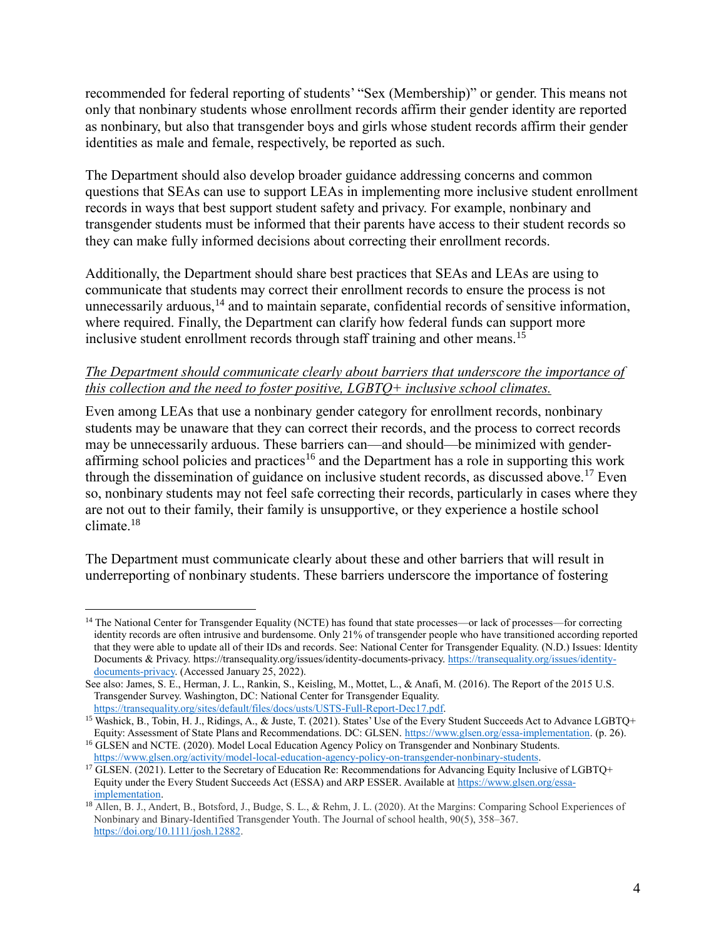recommended for federal reporting of students' "Sex (Membership)" or gender. This means not only that nonbinary students whose enrollment records affirm their gender identity are reported as nonbinary, but also that transgender boys and girls whose student records affirm their gender identities as male and female, respectively, be reported as such.

The Department should also develop broader guidance addressing concerns and common questions that SEAs can use to support LEAs in implementing more inclusive student enrollment records in ways that best support student safety and privacy. For example, nonbinary and transgender students must be informed that their parents have access to their student records so they can make fully informed decisions about correcting their enrollment records.

Additionally, the Department should share best practices that SEAs and LEAs are using to communicate that students may correct their enrollment records to ensure the process is not unnecessarily arduous, $14$  and to maintain separate, confidential records of sensitive information, where required. Finally, the Department can clarify how federal funds can support more inclusive student enrollment records through staff training and other means.<sup>1</sup>

## *The Department should communicate clearly about barriers that underscore the importance of this collection and the need to foster positive, LGBTQ+ inclusive school climates.*

Even among LEAs that use a nonbinary gender category for enrollment records, nonbinary students may be unaware that they can correct their records, and the process to correct records may be unnecessarily arduous. These barriers can—and should—be minimized with genderaffirming school policies and practices<sup>16</sup> and the Department has a role in supporting this work through the dissemination of guidance on inclusive student records, as discussed above.<sup>17</sup> Even so, nonbinary students may not feel safe correcting their records, particularly in cases where they are not out to their family, their family is unsupportive, or they experience a hostile school climate.<sup>18</sup>

The Department must communicate clearly about these and other barriers that will result in underreporting of nonbinary students. These barriers underscore the importance of fostering

 $\overline{a}$ <sup>14</sup> The National Center for Transgender Equality (NCTE) has found that state processes—or lack of processes—for correcting identity records are often intrusive and burdensome. Only 21% of transgender people who have transitioned according reported that they were able to update all of their IDs and records. See: National Center for Transgender Equality. (N.D.) Issues: Identity Documents & Privacy. https://transequality.org/issues/identity-documents-privacy. [https://transequality.org/issues/identity](https://transequality.org/issues/identity-documents-privacy)[documents-privacy.](https://transequality.org/issues/identity-documents-privacy) (Accessed January 25, 2022).

See also: James, S. E., Herman, J. L., Rankin, S., Keisling, M., Mottet, L., & Anafi, M. (2016). The Report of the 2015 U.S. Transgender Survey. Washington, DC: National Center for Transgender Equality. [https://transequality.org/sites/default/files/docs/usts/USTS-Full-Report-Dec17.pdf.](https://transequality.org/sites/default/files/docs/usts/USTS-Full-Report-Dec17.pdf)

<sup>15</sup> Washick, B., Tobin, H. J., Ridings, A., & Juste, T. (2021). States' Use of the Every Student Succeeds Act to Advance LGBTQ+ Equity: Assessment of State Plans and Recommendations. DC: GLSEN[. https://www.glsen.org/essa-implementation.](https://www.glsen.org/essa-implementation) (p. 26).

<sup>16</sup> GLSEN and NCTE. (2020). Model Local Education Agency Policy on Transgender and Nonbinary Students. [https://www.glsen.org/activity/model-local-education-agency-policy-on-transgender-nonbinary-students.](https://www.glsen.org/activity/model-local-education-agency-policy-on-transgender-nonbinary-students)

<sup>&</sup>lt;sup>17</sup> GLSEN. (2021). Letter to the Secretary of Education Re: Recommendations for Advancing Equity Inclusive of LGBTQ+ Equity under the Every Student Succeeds Act (ESSA) and ARP ESSER. Available at [https://www.glsen.org/essa](https://www.glsen.org/essa-implementation)[implementation.](https://www.glsen.org/essa-implementation)

<sup>18</sup> Allen, B. J., Andert, B., Botsford, J., Budge, S. L., & Rehm, J. L. (2020). At the Margins: Comparing School Experiences of Nonbinary and Binary-Identified Transgender Youth. The Journal of school health, 90(5), 358–367. [https://doi.org/10.1111/josh.12882.](https://doi.org/10.1111/josh.12882)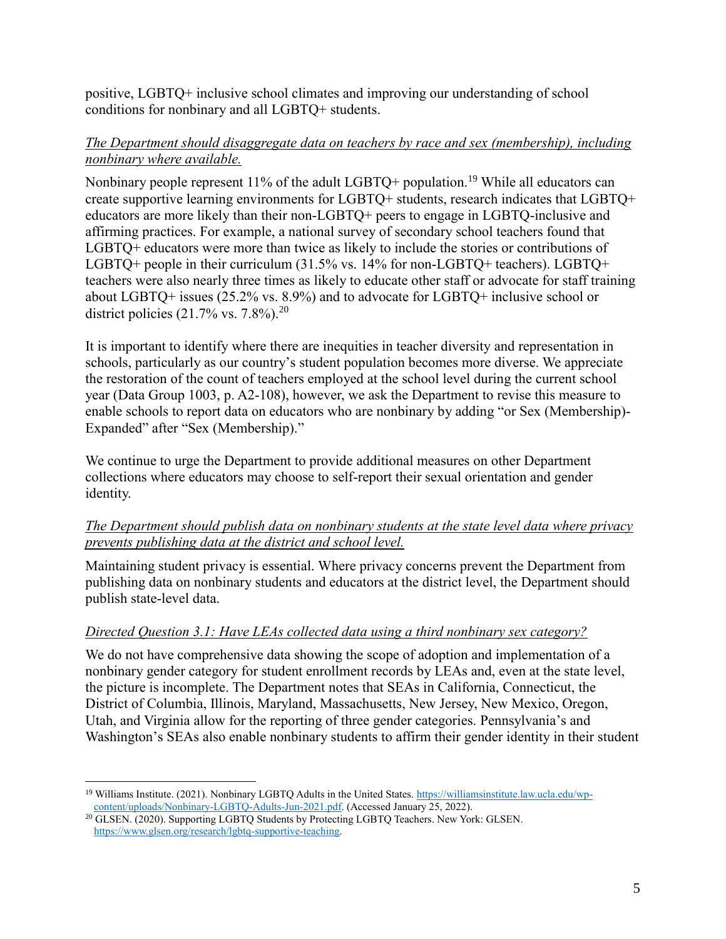positive, LGBTQ+ inclusive school climates and improving our understanding of school conditions for nonbinary and all LGBTQ+ students.

## *The Department should disaggregate data on teachers by race and sex (membership), including nonbinary where available.*

Nonbinary people represent  $11\%$  of the adult LGBTQ+ population.<sup>19</sup> While all educators can create supportive learning environments for LGBTQ+ students, research indicates that LGBTQ+ educators are more likely than their non-LGBTQ+ peers to engage in LGBTQ-inclusive and affirming practices. For example, a national survey of secondary school teachers found that LGBTQ+ educators were more than twice as likely to include the stories or contributions of LGBTQ+ people in their curriculum (31.5% vs. 14% for non-LGBTQ+ teachers). LGBTQ+ teachers were also nearly three times as likely to educate other staff or advocate for staff training about LGBTQ+ issues (25.2% vs. 8.9%) and to advocate for LGBTQ+ inclusive school or district policies  $(21.7\% \text{ vs. } 7.8\%).^{20}$ 

It is important to identify where there are inequities in teacher diversity and representation in schools, particularly as our country's student population becomes more diverse. We appreciate the restoration of the count of teachers employed at the school level during the current school year (Data Group 1003, p. A2-108), however, we ask the Department to revise this measure to enable schools to report data on educators who are nonbinary by adding "or Sex (Membership)- Expanded" after "Sex (Membership)."

We continue to urge the Department to provide additional measures on other Department collections where educators may choose to self-report their sexual orientation and gender identity.

# *The Department should publish data on nonbinary students at the state level data where privacy prevents publishing data at the district and school level.*

Maintaining student privacy is essential. Where privacy concerns prevent the Department from publishing data on nonbinary students and educators at the district level, the Department should publish state-level data.

# *Directed Question 3.1: Have LEAs collected data using a third nonbinary sex category?*

We do not have comprehensive data showing the scope of adoption and implementation of a nonbinary gender category for student enrollment records by LEAs and, even at the state level, the picture is incomplete. The Department notes that SEAs in California, Connecticut, the District of Columbia, Illinois, Maryland, Massachusetts, New Jersey, New Mexico, Oregon, Utah, and Virginia allow for the reporting of three gender categories. Pennsylvania's and Washington's SEAs also enable nonbinary students to affirm their gender identity in their student

 $\overline{a}$ <sup>19</sup> Williams Institute. (2021). Nonbinary LGBTQ Adults in the United States[. https://williamsinstitute.law.ucla.edu/wp](https://williamsinstitute.law.ucla.edu/wp-content/uploads/Nonbinary-LGBTQ-Adults-Jun-2021.pdf)[content/uploads/Nonbinary-LGBTQ-Adults-Jun-2021.pdf.](https://williamsinstitute.law.ucla.edu/wp-content/uploads/Nonbinary-LGBTQ-Adults-Jun-2021.pdf) (Accessed January 25, 2022).

<sup>&</sup>lt;sup>20</sup> GLSEN. (2020). Supporting LGBTQ Students by Protecting LGBTQ Teachers. New York: GLSEN. [https://www.glsen.org/research/lgbtq-supportive-teaching.](https://www.glsen.org/research/lgbtq-supportive-teaching)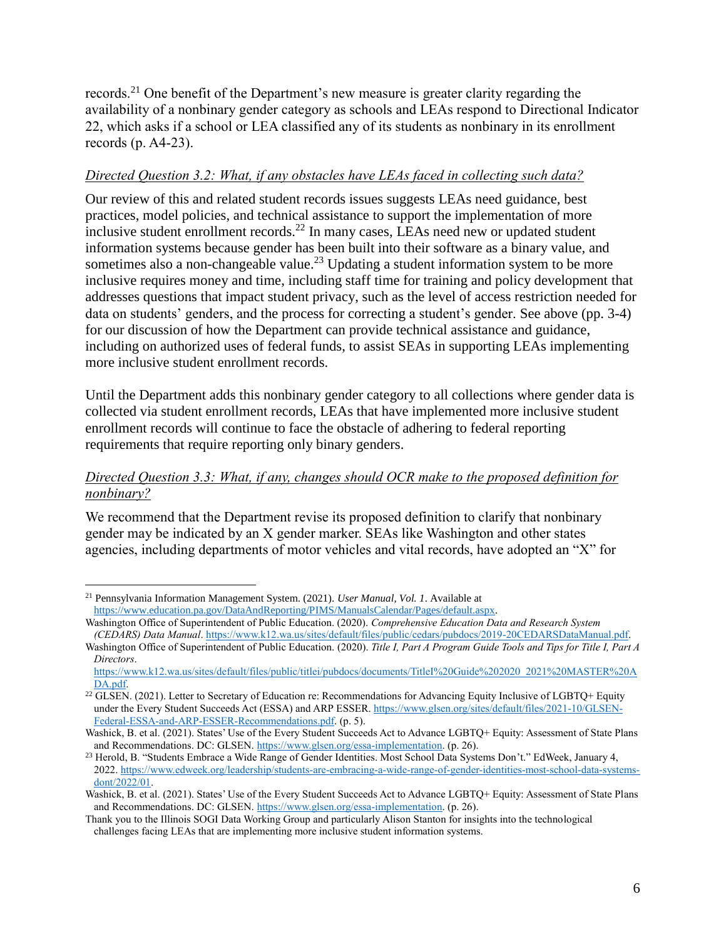records.<sup>21</sup> One benefit of the Department's new measure is greater clarity regarding the availability of a nonbinary gender category as schools and LEAs respond to Directional Indicator 22, which asks if a school or LEA classified any of its students as nonbinary in its enrollment records (p. A4-23).

## *Directed Question 3.2: What, if any obstacles have LEAs faced in collecting such data?*

Our review of this and related student records issues suggests LEAs need guidance, best practices, model policies, and technical assistance to support the implementation of more inclusive student enrollment records.<sup>22</sup> In many cases, LEAs need new or updated student information systems because gender has been built into their software as a binary value, and sometimes also a non-changeable value.<sup>23</sup> Updating a student information system to be more inclusive requires money and time, including staff time for training and policy development that addresses questions that impact student privacy, such as the level of access restriction needed for data on students' genders, and the process for correcting a student's gender. See above (pp. 3-4) for our discussion of how the Department can provide technical assistance and guidance, including on authorized uses of federal funds, to assist SEAs in supporting LEAs implementing more inclusive student enrollment records.

Until the Department adds this nonbinary gender category to all collections where gender data is collected via student enrollment records, LEAs that have implemented more inclusive student enrollment records will continue to face the obstacle of adhering to federal reporting requirements that require reporting only binary genders.

### *Directed Question 3.3: What, if any, changes should OCR make to the proposed definition for nonbinary?*

We recommend that the Department revise its proposed definition to clarify that nonbinary gender may be indicated by an X gender marker. SEAs like Washington and other states agencies, including departments of motor vehicles and vital records, have adopted an "X" for

<sup>21</sup> Pennsylvania Information Management System. (2021). *User Manual, Vol. 1*. Available at [https://www.education.pa.gov/DataAndReporting/PIMS/ManualsCalendar/Pages/default.aspx.](https://www.education.pa.gov/DataAndReporting/PIMS/ManualsCalendar/Pages/default.aspx)

Washington Office of Superintendent of Public Education. (2020). *Comprehensive Education Data and Research System (CEDARS) Data Manual*[. https://www.k12.wa.us/sites/default/files/public/cedars/pubdocs/2019-20CEDARSDataManual.pdf.](https://www.k12.wa.us/sites/default/files/public/cedars/pubdocs/2019-20CEDARSDataManual.pdf)

Washington Office of Superintendent of Public Education. (2020). *Title I, Part A Program Guide Tools and Tips for Title I, Part A Directors*.

[https://www.k12.wa.us/sites/default/files/public/titlei/pubdocs/documents/TitleI%20Guide%202020\\_2021%20MASTER%20A](https://www.k12.wa.us/sites/default/files/public/titlei/pubdocs/documents/TitleI%20Guide%202020_2021%20MASTER%20ADA.pdf) [DA.pdf.](https://www.k12.wa.us/sites/default/files/public/titlei/pubdocs/documents/TitleI%20Guide%202020_2021%20MASTER%20ADA.pdf)

<sup>&</sup>lt;sup>22</sup> GLSEN. (2021). Letter to Secretary of Education re: Recommendations for Advancing Equity Inclusive of LGBTQ+ Equity under the Every Student Succeeds Act (ESSA) and ARP ESSER[. https://www.glsen.org/sites/default/files/2021-10/GLSEN-](https://www.glsen.org/sites/default/files/2021-10/GLSEN-Federal-ESSA-and-ARP-ESSER-Recommendations.pdf)[Federal-ESSA-and-ARP-ESSER-Recommendations.pdf.](https://www.glsen.org/sites/default/files/2021-10/GLSEN-Federal-ESSA-and-ARP-ESSER-Recommendations.pdf) (p. 5).

Washick, B. et al. (2021). States' Use of the Every Student Succeeds Act to Advance LGBTO+ Equity: Assessment of State Plans and Recommendations. DC: GLSEN[. https://www.glsen.org/essa-implementation.](https://www.glsen.org/essa-implementation) (p. 26).

<sup>&</sup>lt;sup>23</sup> Herold, B. "Students Embrace a Wide Range of Gender Identities. Most School Data Systems Don't." EdWeek, January 4, 2022. [https://www.edweek.org/leadership/students-are-embracing-a-wide-range-of-gender-identities-most-school-data-systems](https://www.edweek.org/leadership/students-are-embracing-a-wide-range-of-gender-identities-most-school-data-systems-dont/2022/01)[dont/2022/01.](https://www.edweek.org/leadership/students-are-embracing-a-wide-range-of-gender-identities-most-school-data-systems-dont/2022/01)

Washick, B. et al. (2021). States' Use of the Every Student Succeeds Act to Advance LGBTQ+ Equity: Assessment of State Plans and Recommendations. DC: GLSEN[. https://www.glsen.org/essa-implementation.](https://www.glsen.org/essa-implementation) (p. 26).

Thank you to the Illinois SOGI Data Working Group and particularly Alison Stanton for insights into the technological challenges facing LEAs that are implementing more inclusive student information systems.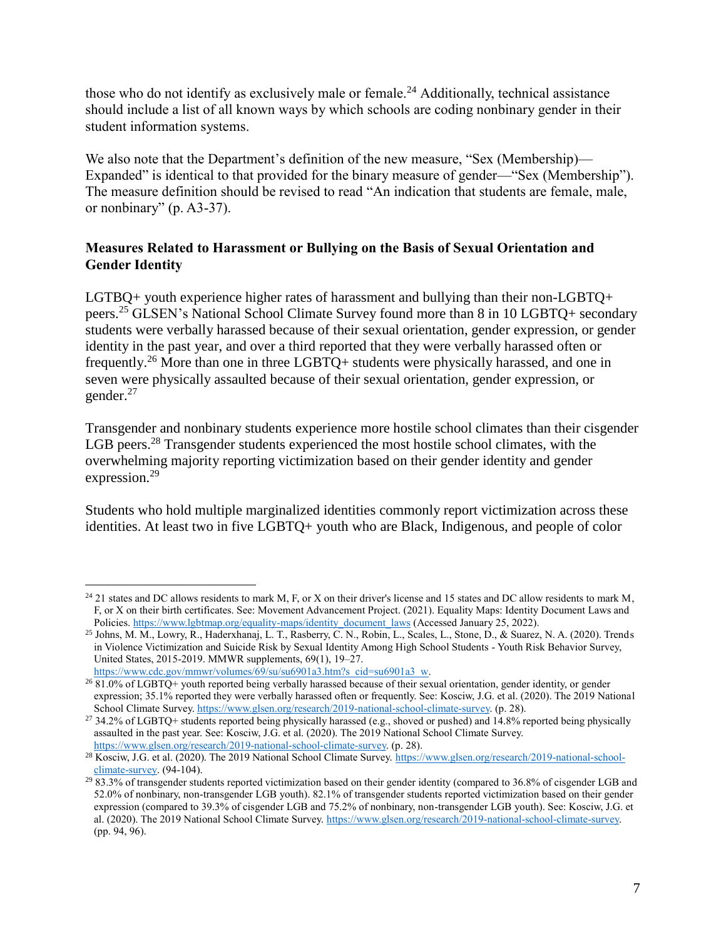those who do not identify as exclusively male or female.<sup>24</sup> Additionally, technical assistance should include a list of all known ways by which schools are coding nonbinary gender in their student information systems.

We also note that the Department's definition of the new measure, "Sex (Membership)— Expanded" is identical to that provided for the binary measure of gender—"Sex (Membership"). The measure definition should be revised to read "An indication that students are female, male, or nonbinary" (p. A3-37).

# **Measures Related to Harassment or Bullying on the Basis of Sexual Orientation and Gender Identity**

LGTBQ+ youth experience higher rates of harassment and bullying than their non-LGBTQ+ peers.<sup>25</sup> GLSEN's National School Climate Survey found more than 8 in 10 LGBTQ+ secondary students were verbally harassed because of their sexual orientation, gender expression, or gender identity in the past year, and over a third reported that they were verbally harassed often or frequently.<sup>26</sup> More than one in three LGBTQ+ students were physically harassed, and one in seven were physically assaulted because of their sexual orientation, gender expression, or gender.<sup>27</sup>

Transgender and nonbinary students experience more hostile school climates than their cisgender LGB peers.<sup>28</sup> Transgender students experienced the most hostile school climates, with the overwhelming majority reporting victimization based on their gender identity and gender expression.<sup>29</sup>

Students who hold multiple marginalized identities commonly report victimization across these identities. At least two in five LGBTQ+ youth who are Black, Indigenous, and people of color

 $^{24}$  21 states and DC allows residents to mark M, F, or X on their driver's license and 15 states and DC allow residents to mark M, F, or X on their birth certificates. See: Movement Advancement Project. (2021). Equality Maps: Identity Document Laws and Policies[. https://www.lgbtmap.org/equality-maps/identity\\_document\\_laws](https://www.lgbtmap.org/equality-maps/identity_document_laws) (Accessed January 25, 2022).

<sup>25</sup> Johns, M. M., Lowry, R., Haderxhanaj, L. T., Rasberry, C. N., Robin, L., Scales, L., Stone, D., & Suarez, N. A. (2020). Trends in Violence Victimization and Suicide Risk by Sexual Identity Among High School Students - Youth Risk Behavior Survey, United States, 2015-2019. MMWR supplements, 69(1), 19–27.

[https://www.cdc.gov/mmwr/volumes/69/su/su6901a3.htm?s\\_cid=su6901a3\\_w.](https://www.cdc.gov/mmwr/volumes/69/su/su6901a3.htm?s_cid=su6901a3_w)

 $^{26}$  81.0% of LGBTQ+ youth reported being verbally harassed because of their sexual orientation, gender identity, or gender expression; 35.1% reported they were verbally harassed often or frequently. See: Kosciw, J.G. et al. (2020). The 2019 National School Climate Survey[. https://www.glsen.org/research/2019-national-school-climate-survey.](https://www.glsen.org/research/2019-national-school-climate-survey) (p. 28).

<sup>27</sup> 34.2% of LGBTQ+ students reported being physically harassed (e.g., shoved or pushed) and 14.8% reported being physically assaulted in the past year. See: Kosciw, J.G. et al. (2020). The 2019 National School Climate Survey. [https://www.glsen.org/research/2019-national-school-climate-survey.](https://www.glsen.org/research/2019-national-school-climate-survey) (p. 28).

<sup>28</sup> Kosciw, J.G. et al. (2020). The 2019 National School Climate Survey[. https://www.glsen.org/research/2019-national-school](https://www.glsen.org/research/2019-national-school-climate-survey)[climate-survey.](https://www.glsen.org/research/2019-national-school-climate-survey) (94-104).

 $29\overline{83.3\%}$  of transgender students reported victimization based on their gender identity (compared to 36.8% of cisgender LGB and 52.0% of nonbinary, non-transgender LGB youth). 82.1% of transgender students reported victimization based on their gender expression (compared to 39.3% of cisgender LGB and 75.2% of nonbinary, non-transgender LGB youth). See: Kosciw, J.G. et al. (2020). The 2019 National School Climate Survey[. https://www.glsen.org/research/2019-national-school-climate-survey.](https://www.glsen.org/research/2019-national-school-climate-survey)  (pp. 94, 96).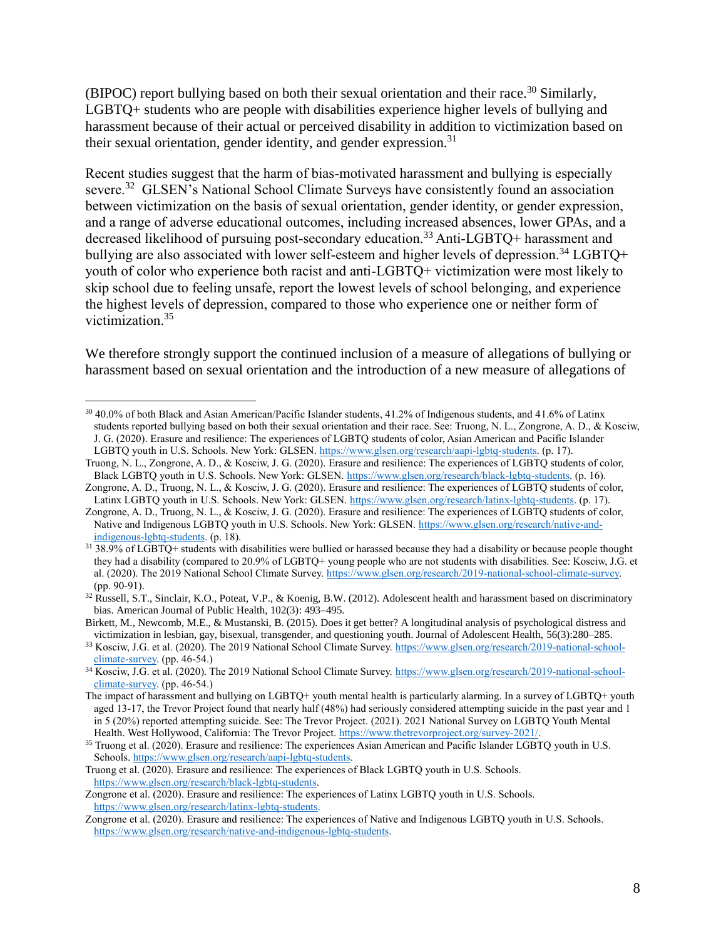(BIPOC) report bullying based on both their sexual orientation and their race.<sup>30</sup> Similarly, LGBTQ+ students who are people with disabilities experience higher levels of bullying and harassment because of their actual or perceived disability in addition to victimization based on their sexual orientation, gender identity, and gender expression.<sup>31</sup>

Recent studies suggest that the harm of bias-motivated harassment and bullying is especially severe.<sup>32</sup> GLSEN's National School Climate Surveys have consistently found an association between victimization on the basis of sexual orientation, gender identity, or gender expression, and a range of adverse educational outcomes, including increased absences, lower GPAs, and a decreased likelihood of pursuing post-secondary education.<sup>33</sup> Anti-LGBTQ+ harassment and bullying are also associated with lower self-esteem and higher levels of depression.<sup>34</sup> LGBTO+ youth of color who experience both racist and anti-LGBTQ+ victimization were most likely to skip school due to feeling unsafe, report the lowest levels of school belonging, and experience the highest levels of depression, compared to those who experience one or neither form of victimization.<sup>35</sup>

We therefore strongly support the continued inclusion of a measure of allegations of bullying or harassment based on sexual orientation and the introduction of a new measure of allegations of

 $30\,40.0\%$  of both Black and Asian American/Pacific Islander students, 41.2% of Indigenous students, and 41.6% of Latinx students reported bullying based on both their sexual orientation and their race. See: Truong, N. L., Zongrone, A. D., & Kosciw, J. G. (2020). Erasure and resilience: The experiences of LGBTQ students of color, Asian American and Pacific Islander LGBTQ youth in U.S. Schools. New York: GLSEN[. https://www.glsen.org/research/aapi-lgbtq-students.](https://www.glsen.org/research/aapi-lgbtq-students) (p. 17).

Truong, N. L., Zongrone, A. D., & Kosciw, J. G. (2020). Erasure and resilience: The experiences of LGBTQ students of color, Black LGBTQ youth in U.S. Schools. New York: GLSEN[. https://www.glsen.org/research/black-lgbtq-students.](https://www.glsen.org/research/black-lgbtq-students) (p. 16).

Zongrone, A. D., Truong, N. L., & Kosciw, J. G. (2020). Erasure and resilience: The experiences of LGBTQ students of color, Latinx LGBTQ youth in U.S. Schools. New York: GLSEN. [https://www.glsen.org/research/latinx-lgbtq-students.](https://www.glsen.org/research/latinx-lgbtq-students) (p. 17).

Zongrone, A. D., Truong, N. L., & Kosciw, J. G. (2020). Erasure and resilience: The experiences of LGBTQ students of color, Native and Indigenous LGBTQ youth in U.S. Schools. New York: GLSEN. [https://www.glsen.org/research/native-and](https://www.glsen.org/research/native-and-indigenous-lgbtq-students)[indigenous-lgbtq-students.](https://www.glsen.org/research/native-and-indigenous-lgbtq-students) (p. 18).

<sup>&</sup>lt;sup>31</sup> 38.9% of LGBTQ+ students with disabilities were bullied or harassed because they had a disability or because people thought they had a disability (compared to 20.9% of LGBTQ+ young people who are not students with disabilities. See: Kosciw, J.G. et al. (2020). The 2019 National School Climate Survey[. https://www.glsen.org/research/2019-national-school-climate-survey.](https://www.glsen.org/research/2019-national-school-climate-survey)  (pp. 90-91).

<sup>&</sup>lt;sup>32</sup> Russell, S.T., Sinclair, K.O., Poteat, V.P., & Koenig, B.W. (2012). Adolescent health and harassment based on discriminatory bias. American Journal of Public Health, 102(3): 493–495.

Birkett, M., Newcomb, M.E., & Mustanski, B. (2015). Does it get better? A longitudinal analysis of psychological distress and victimization in lesbian, gay, bisexual, transgender, and questioning youth. Journal of Adolescent Health, 56(3):280–285.

<sup>&</sup>lt;sup>33</sup> Kosciw, J.G. et al. (2020). The 2019 National School Climate Survey[. https://www.glsen.org/research/2019-national-school](https://www.glsen.org/research/2019-national-school-climate-survey)[climate-survey.](https://www.glsen.org/research/2019-national-school-climate-survey) (pp. 46-54.)

<sup>&</sup>lt;sup>34</sup> Kosciw, J.G. et al. (2020). The 2019 National School Climate Survey[. https://www.glsen.org/research/2019-national-school](https://www.glsen.org/research/2019-national-school-climate-survey)[climate-survey.](https://www.glsen.org/research/2019-national-school-climate-survey) (pp. 46-54.)

The impact of harassment and bullying on LGBTQ+ youth mental health is particularly alarming. In a survey of LGBTQ+ youth aged 13-17, the Trevor Project found that nearly half (48%) had seriously considered attempting suicide in the past year and 1 in 5 (20%) reported attempting suicide. See: The Trevor Project. (2021). 2021 National Survey on LGBTQ Youth Mental Health. West Hollywood, California: The Trevor Project. [https://www.thetrevorproject.org/survey-2021/.](https://www.thetrevorproject.org/survey-2021/)

<sup>&</sup>lt;sup>35</sup> Truong et al. (2020). Erasure and resilience: The experiences Asian American and Pacific Islander LGBTQ youth in U.S. Schools[. https://www.glsen.org/research/aapi-lgbtq-students.](https://www.glsen.org/research/aapi-lgbtq-students) 

Truong et al. (2020). Erasure and resilience: The experiences of Black LGBTQ youth in U.S. Schools. [https://www.glsen.org/research/black-lgbtq-students.](https://www.glsen.org/research/black-lgbtq-students)

Zongrone et al. (2020). Erasure and resilience: The experiences of Latinx LGBTQ youth in U.S. Schools. [https://www.glsen.org/research/latinx-lgbtq-students.](https://www.glsen.org/research/latinx-lgbtq-students)

Zongrone et al. (2020). Erasure and resilience: The experiences of Native and Indigenous LGBTQ youth in U.S. Schools. [https://www.glsen.org/research/native-and-indigenous-lgbtq-students.](https://www.glsen.org/research/native-and-indigenous-lgbtq-students)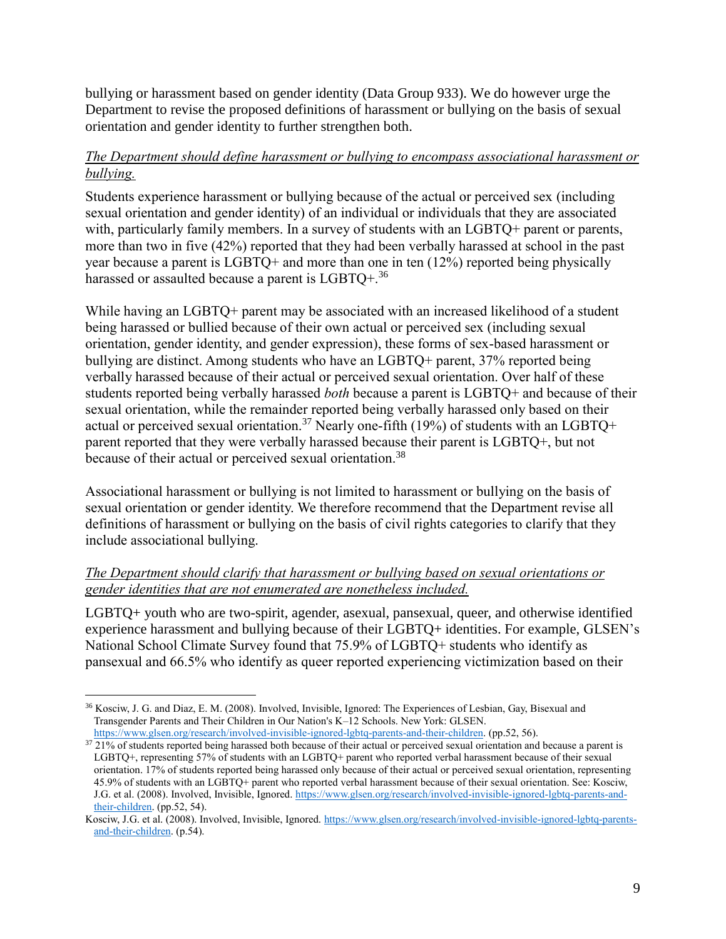bullying or harassment based on gender identity (Data Group 933). We do however urge the Department to revise the proposed definitions of harassment or bullying on the basis of sexual orientation and gender identity to further strengthen both.

## *The Department should define harassment or bullying to encompass associational harassment or bullying.*

Students experience harassment or bullying because of the actual or perceived sex (including sexual orientation and gender identity) of an individual or individuals that they are associated with, particularly family members. In a survey of students with an LGBTQ+ parent or parents, more than two in five (42%) reported that they had been verbally harassed at school in the past year because a parent is LGBTQ+ and more than one in ten (12%) reported being physically harassed or assaulted because a parent is  $LGBTO+.$ <sup>36</sup>

While having an LGBTQ+ parent may be associated with an increased likelihood of a student being harassed or bullied because of their own actual or perceived sex (including sexual orientation, gender identity, and gender expression), these forms of sex-based harassment or bullying are distinct. Among students who have an LGBTQ+ parent, 37% reported being verbally harassed because of their actual or perceived sexual orientation. Over half of these students reported being verbally harassed *both* because a parent is LGBTQ+ and because of their sexual orientation, while the remainder reported being verbally harassed only based on their actual or perceived sexual orientation.<sup>37</sup> Nearly one-fifth (19%) of students with an LGBTQ+ parent reported that they were verbally harassed because their parent is LGBTQ+, but not because of their actual or perceived sexual orientation.<sup>38</sup>

Associational harassment or bullying is not limited to harassment or bullying on the basis of sexual orientation or gender identity. We therefore recommend that the Department revise all definitions of harassment or bullying on the basis of civil rights categories to clarify that they include associational bullying.

## *The Department should clarify that harassment or bullying based on sexual orientations or gender identities that are not enumerated are nonetheless included.*

LGBTQ+ youth who are two-spirit, agender, asexual, pansexual, queer, and otherwise identified experience harassment and bullying because of their LGBTQ+ identities. For example, GLSEN's National School Climate Survey found that 75.9% of LGBTQ+ students who identify as pansexual and 66.5% who identify as queer reported experiencing victimization based on their

 $\overline{a}$ <sup>36</sup> Kosciw, J. G. and Diaz, E. M. (2008). Involved, Invisible, Ignored: The Experiences of Lesbian, Gay, Bisexual and Transgender Parents and Their Children in Our Nation's K–12 Schools. New York: GLSEN. [https://www.glsen.org/research/involved-invisible-ignored-lgbtq-parents-and-their-children.](https://www.glsen.org/research/involved-invisible-ignored-lgbtq-parents-and-their-children) (pp.52, 56).

 $37\frac{121}{6}$  of students reported being harassed both because of their actual or perceived sexual orientation and because a parent is LGBTQ+, representing 57% of students with an LGBTQ+ parent who reported verbal harassment because of their sexual orientation. 17% of students reported being harassed only because of their actual or perceived sexual orientation, representing 45.9% of students with an LGBTQ+ parent who reported verbal harassment because of their sexual orientation. See: Kosciw, J.G. et al. (2008). Involved, Invisible, Ignored. [https://www.glsen.org/research/involved-invisible-ignored-lgbtq-parents-and](https://www.glsen.org/research/involved-invisible-ignored-lgbtq-parents-and-their-children)[their-children.](https://www.glsen.org/research/involved-invisible-ignored-lgbtq-parents-and-their-children) (pp.52, 54).

Kosciw, J.G. et al. (2008). Involved, Invisible, Ignored. [https://www.glsen.org/research/involved-invisible-ignored-lgbtq-parents](https://www.glsen.org/research/involved-invisible-ignored-lgbtq-parents-and-their-children)[and-their-children.](https://www.glsen.org/research/involved-invisible-ignored-lgbtq-parents-and-their-children) (p.54).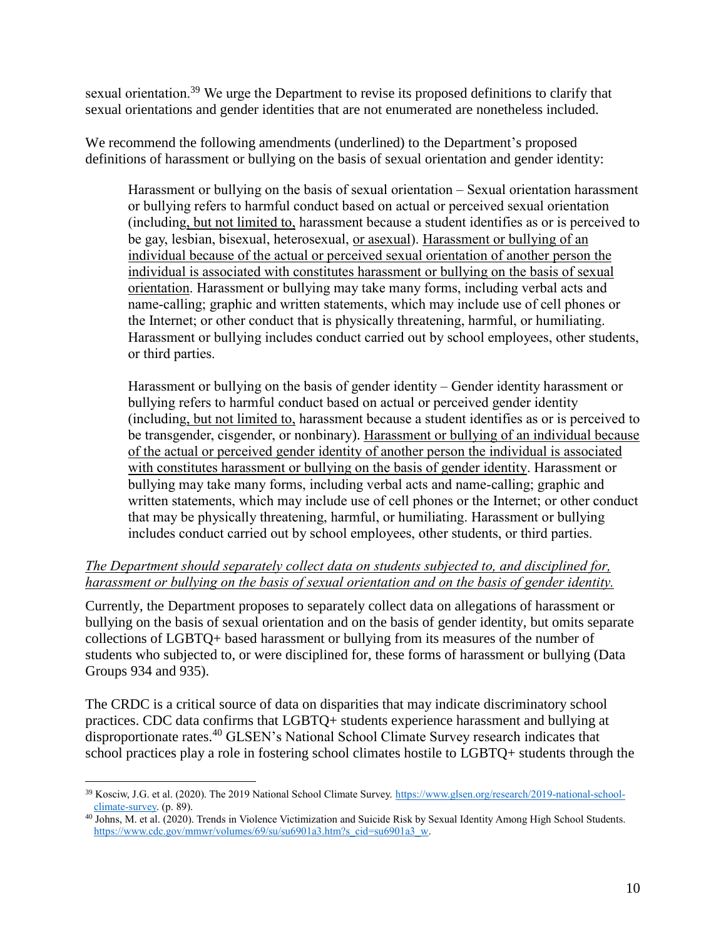sexual orientation.<sup>39</sup> We urge the Department to revise its proposed definitions to clarify that sexual orientations and gender identities that are not enumerated are nonetheless included.

We recommend the following amendments (underlined) to the Department's proposed definitions of harassment or bullying on the basis of sexual orientation and gender identity:

Harassment or bullying on the basis of sexual orientation – Sexual orientation harassment or bullying refers to harmful conduct based on actual or perceived sexual orientation (including, but not limited to, harassment because a student identifies as or is perceived to be gay, lesbian, bisexual, heterosexual, or asexual). Harassment or bullying of an individual because of the actual or perceived sexual orientation of another person the individual is associated with constitutes harassment or bullying on the basis of sexual orientation. Harassment or bullying may take many forms, including verbal acts and name-calling; graphic and written statements, which may include use of cell phones or the Internet; or other conduct that is physically threatening, harmful, or humiliating. Harassment or bullying includes conduct carried out by school employees, other students, or third parties.

Harassment or bullying on the basis of gender identity – Gender identity harassment or bullying refers to harmful conduct based on actual or perceived gender identity (including, but not limited to, harassment because a student identifies as or is perceived to be transgender, cisgender, or nonbinary). Harassment or bullying of an individual because of the actual or perceived gender identity of another person the individual is associated with constitutes harassment or bullying on the basis of gender identity. Harassment or bullying may take many forms, including verbal acts and name‐calling; graphic and written statements, which may include use of cell phones or the Internet; or other conduct that may be physically threatening, harmful, or humiliating. Harassment or bullying includes conduct carried out by school employees, other students, or third parties.

### *The Department should separately collect data on students subjected to, and disciplined for, harassment or bullying on the basis of sexual orientation and on the basis of gender identity.*

Currently, the Department proposes to separately collect data on allegations of harassment or bullying on the basis of sexual orientation and on the basis of gender identity, but omits separate collections of LGBTQ+ based harassment or bullying from its measures of the number of students who subjected to, or were disciplined for, these forms of harassment or bullying (Data Groups 934 and 935).

The CRDC is a critical source of data on disparities that may indicate discriminatory school practices. CDC data confirms that LGBTQ+ students experience harassment and bullying at disproportionate rates.<sup>40</sup> GLSEN's National School Climate Survey research indicates that school practices play a role in fostering school climates hostile to LGBTQ+ students through the

 $\overline{a}$ <sup>39</sup> Kosciw, J.G. et al. (2020). The 2019 National School Climate Survey[. https://www.glsen.org/research/2019-national-school](https://www.glsen.org/research/2019-national-school-climate-survey)[climate-survey.](https://www.glsen.org/research/2019-national-school-climate-survey) (p. 89).

 $40$  Johns, M. et al. (2020). Trends in Violence Victimization and Suicide Risk by Sexual Identity Among High School Students. [https://www.cdc.gov/mmwr/volumes/69/su/su6901a3.htm?s\\_cid=su6901a3\\_w.](https://www.cdc.gov/mmwr/volumes/69/su/su6901a3.htm?s_cid=su6901a3_w)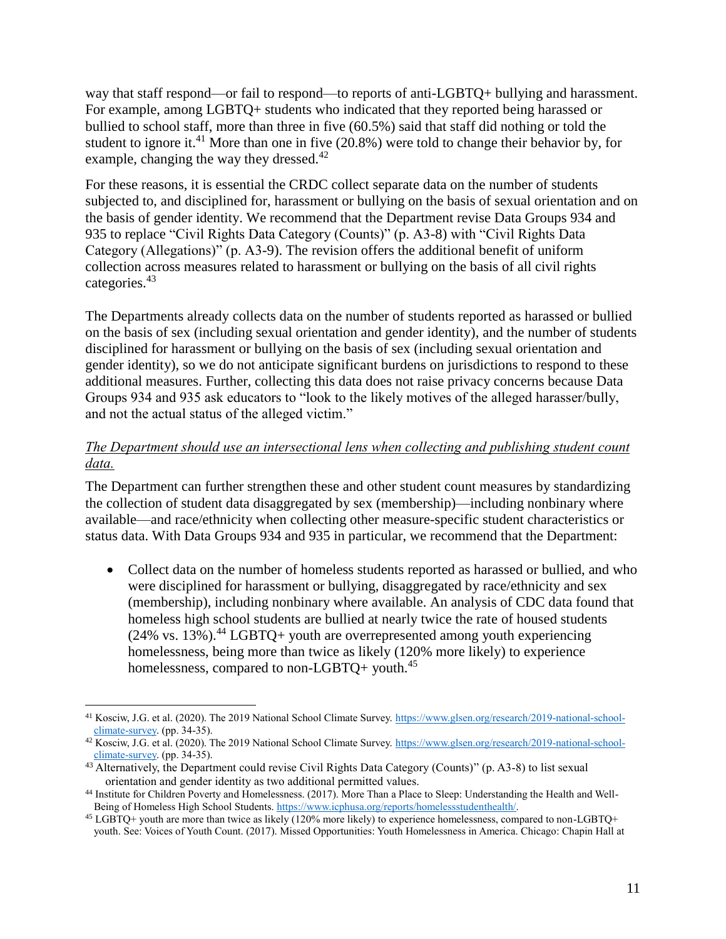way that staff respond—or fail to respond—to reports of anti-LGBTQ+ bullying and harassment. For example, among LGBTQ+ students who indicated that they reported being harassed or bullied to school staff, more than three in five (60.5%) said that staff did nothing or told the student to ignore it.<sup>41</sup> More than one in five  $(20.8\%)$  were told to change their behavior by, for example, changing the way they dressed.<sup>42</sup>

For these reasons, it is essential the CRDC collect separate data on the number of students subjected to, and disciplined for, harassment or bullying on the basis of sexual orientation and on the basis of gender identity. We recommend that the Department revise Data Groups 934 and 935 to replace "Civil Rights Data Category (Counts)" (p. A3-8) with "Civil Rights Data Category (Allegations)" (p. A3-9). The revision offers the additional benefit of uniform collection across measures related to harassment or bullying on the basis of all civil rights categories.<sup>43</sup>

The Departments already collects data on the number of students reported as harassed or bullied on the basis of sex (including sexual orientation and gender identity), and the number of students disciplined for harassment or bullying on the basis of sex (including sexual orientation and gender identity), so we do not anticipate significant burdens on jurisdictions to respond to these additional measures. Further, collecting this data does not raise privacy concerns because Data Groups 934 and 935 ask educators to "look to the likely motives of the alleged harasser/bully, and not the actual status of the alleged victim."

# *The Department should use an intersectional lens when collecting and publishing student count data.*

The Department can further strengthen these and other student count measures by standardizing the collection of student data disaggregated by sex (membership)—including nonbinary where available—and race/ethnicity when collecting other measure-specific student characteristics or status data. With Data Groups 934 and 935 in particular, we recommend that the Department:

 Collect data on the number of homeless students reported as harassed or bullied, and who were disciplined for harassment or bullying, disaggregated by race/ethnicity and sex (membership), including nonbinary where available. An analysis of CDC data found that homeless high school students are bullied at nearly twice the rate of housed students  $(24\%$  vs. 13%).<sup>44</sup> LGBTQ+ youth are overrepresented among youth experiencing homelessness, being more than twice as likely (120% more likely) to experience homelessness, compared to non-LGBTQ+ youth.<sup>45</sup>

 $\overline{a}$ <sup>41</sup> Kosciw, J.G. et al. (2020). The 2019 National School Climate Survey[. https://www.glsen.org/research/2019-national-school](https://www.glsen.org/research/2019-national-school-climate-survey)[climate-survey.](https://www.glsen.org/research/2019-national-school-climate-survey) (pp. 34-35).

<sup>42</sup> Kosciw, J.G. et al. (2020). The 2019 National School Climate Survey[. https://www.glsen.org/research/2019-national-school](https://www.glsen.org/research/2019-national-school-climate-survey) $climate-survey.$  (pp. 34-35).

<sup>&</sup>lt;sup>43</sup> Alternatively, the Department could revise Civil Rights Data Category (Counts)" (p. A3-8) to list sexual orientation and gender identity as two additional permitted values.

<sup>44</sup> Institute for Children Poverty and Homelessness. (2017). More Than a Place to Sleep: Understanding the Health and Well-Being of Homeless High School Students[. https://www.icphusa.org/reports/homelessstudenthealth/.](https://www.icphusa.org/reports/homelessstudenthealth/)

<sup>45</sup> LGBTQ+ youth are more than twice as likely (120% more likely) to experience homelessness, compared to non-LGBTQ+ youth. See: Voices of Youth Count. (2017). Missed Opportunities: Youth Homelessness in America. Chicago: Chapin Hall at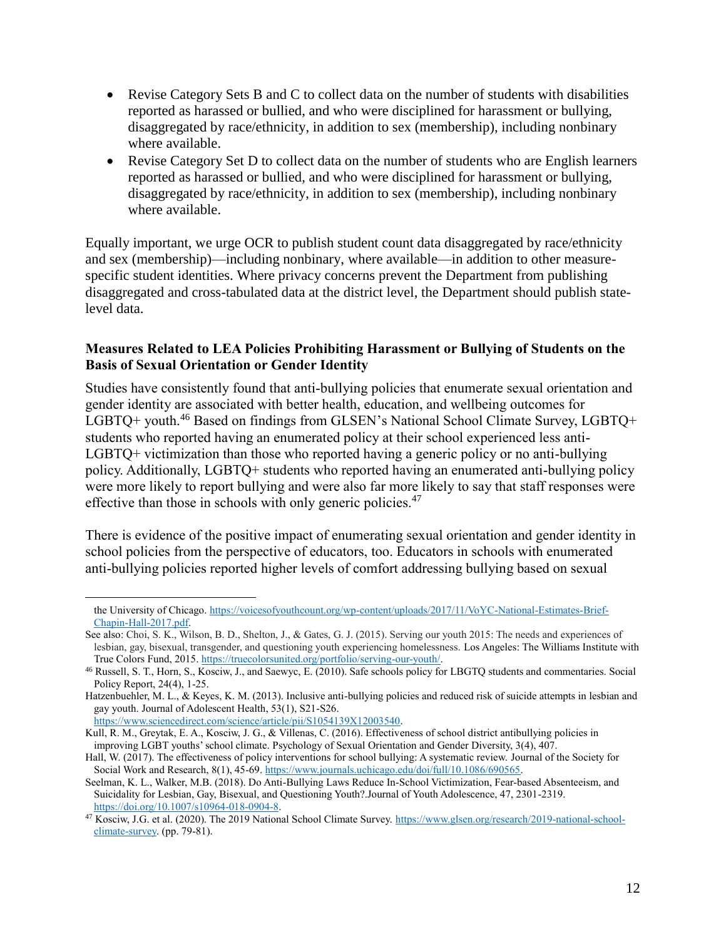- Revise Category Sets B and C to collect data on the number of students with disabilities reported as harassed or bullied, and who were disciplined for harassment or bullying, disaggregated by race/ethnicity, in addition to sex (membership), including nonbinary where available.
- Revise Category Set D to collect data on the number of students who are English learners reported as harassed or bullied, and who were disciplined for harassment or bullying, disaggregated by race/ethnicity, in addition to sex (membership), including nonbinary where available.

Equally important, we urge OCR to publish student count data disaggregated by race/ethnicity and sex (membership)—including nonbinary, where available—in addition to other measurespecific student identities. Where privacy concerns prevent the Department from publishing disaggregated and cross-tabulated data at the district level, the Department should publish statelevel data.

### **Measures Related to LEA Policies Prohibiting Harassment or Bullying of Students on the Basis of Sexual Orientation or Gender Identity**

Studies have consistently found that anti-bullying policies that enumerate sexual orientation and gender identity are associated with better health, education, and wellbeing outcomes for LGBTQ+ youth.<sup>46</sup> Based on findings from GLSEN's National School Climate Survey, LGBTQ+ students who reported having an enumerated policy at their school experienced less anti-LGBTQ+ victimization than those who reported having a generic policy or no anti-bullying policy. Additionally, LGBTQ+ students who reported having an enumerated anti-bullying policy were more likely to report bullying and were also far more likely to say that staff responses were effective than those in schools with only generic policies.<sup>47</sup>

There is evidence of the positive impact of enumerating sexual orientation and gender identity in school policies from the perspective of educators, too. Educators in schools with enumerated anti-bullying policies reported higher levels of comfort addressing bullying based on sexual

the University of Chicago. [https://voicesofyouthcount.org/wp-content/uploads/2017/11/VoYC-National-Estimates-Brief-](https://voicesofyouthcount.org/wp-content/uploads/2017/11/VoYC-National-Estimates-Brief-Chapin-Hall-2017.pdf)[Chapin-Hall-2017.pdf.](https://voicesofyouthcount.org/wp-content/uploads/2017/11/VoYC-National-Estimates-Brief-Chapin-Hall-2017.pdf)

See also: Choi, S. K., Wilson, B. D., Shelton, J., & Gates, G. J. (2015). Serving our youth 2015: The needs and experiences of lesbian, gay, bisexual, transgender, and questioning youth experiencing homelessness. Los Angeles: The Williams Institute with True Colors Fund, 2015. [https://truecolorsunited.org/portfolio/serving-our-youth/.](https://truecolorsunited.org/portfolio/serving-our-youth/)

<sup>46</sup> Russell, S. T., Horn, S., Kosciw, J., and Saewyc, E. (2010). Safe schools policy for LBGTQ students and commentaries. Social Policy Report, 24(4), 1-25.

Hatzenbuehler, M. L., & Keyes, K. M. (2013). Inclusive anti-bullying policies and reduced risk of suicide attempts in lesbian and gay youth. Journal of Adolescent Health, 53(1), S21-S26.

[https://www.sciencedirect.com/science/article/pii/S1054139X12003540.](https://www.sciencedirect.com/science/article/pii/S1054139X12003540)

Kull, R. M., Greytak, E. A., Kosciw, J. G., & Villenas, C. (2016). Effectiveness of school district antibullying policies in improving LGBT youths' school climate. Psychology of Sexual Orientation and Gender Diversity, 3(4), 407.

Hall, W. (2017). The effectiveness of policy interventions for school bullying: A systematic review. Journal of the Society for Social Work and Research, 8(1), 45-69[. https://www.journals.uchicago.edu/doi/full/10.1086/690565.](https://www.journals.uchicago.edu/doi/full/10.1086/690565)

Seelman, K. L., Walker, M.B. (2018). Do Anti-Bullying Laws Reduce In-School Victimization, Fear-based Absenteeism, and Suicidality for Lesbian, Gay, Bisexual, and Questioning Youth?.Journal of Youth Adolescence, 47, 2301-2319. [https://doi.org/10.1007/s10964-018-0904-8.](https://doi.org/10.1007/s10964-018-0904-8)

<sup>&</sup>lt;sup>47</sup> Kosciw, J.G. et al. (2020). The 2019 National School Climate Survey[. https://www.glsen.org/research/2019-national-school](https://www.glsen.org/research/2019-national-school-climate-survey)[climate-survey.](https://www.glsen.org/research/2019-national-school-climate-survey) (pp. 79-81).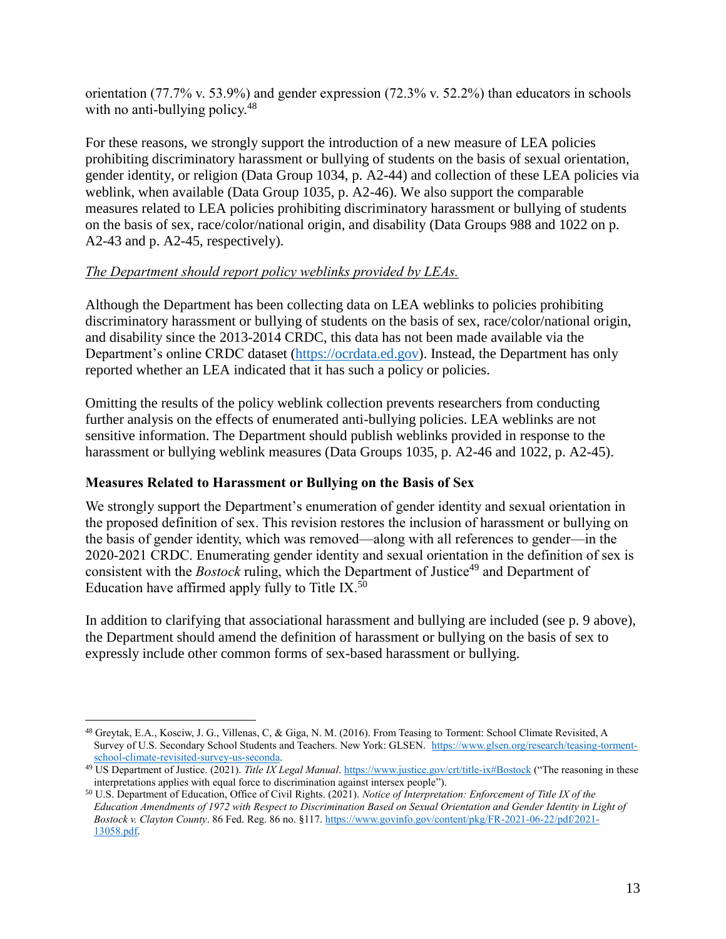orientation (77.7% v. 53.9%) and gender expression (72.3% v. 52.2%) than educators in schools with no anti-bullying policy. $48$ 

For these reasons, we strongly support the introduction of a new measure of LEA policies prohibiting discriminatory harassment or bullying of students on the basis of sexual orientation, gender identity, or religion (Data Group 1034, p. A2-44) and collection of these LEA policies via weblink, when available (Data Group 1035, p. A2-46). We also support the comparable measures related to LEA policies prohibiting discriminatory harassment or bullying of students on the basis of sex, race/color/national origin, and disability (Data Groups 988 and 1022 on p. A2-43 and p. A2-45, respectively).

# *The Department should report policy weblinks provided by LEAs.*

Although the Department has been collecting data on LEA weblinks to policies prohibiting discriminatory harassment or bullying of students on the basis of sex, race/color/national origin, and disability since the 2013-2014 CRDC, this data has not been made available via the Department's online CRDC dataset [\(https://ocrdata.ed.gov\)](https://ocrdata.ed.gov/). Instead, the Department has only reported whether an LEA indicated that it has such a policy or policies.

Omitting the results of the policy weblink collection prevents researchers from conducting further analysis on the effects of enumerated anti-bullying policies. LEA weblinks are not sensitive information. The Department should publish weblinks provided in response to the harassment or bullying weblink measures (Data Groups 1035, p. A2-46 and 1022, p. A2-45).

# **Measures Related to Harassment or Bullying on the Basis of Sex**

We strongly support the Department's enumeration of gender identity and sexual orientation in the proposed definition of sex. This revision restores the inclusion of harassment or bullying on the basis of gender identity, which was removed—along with all references to gender—in the 2020-2021 CRDC. Enumerating gender identity and sexual orientation in the definition of sex is consistent with the *Bostock* ruling, which the Department of Justice<sup>49</sup> and Department of Education have affirmed apply fully to Title IX. $50$ 

In addition to clarifying that associational harassment and bullying are included (see p. 9 above), the Department should amend the definition of harassment or bullying on the basis of sex to expressly include other common forms of sex-based harassment or bullying.

 $\overline{a}$ <sup>48</sup> Greytak, E.A., Kosciw, J. G., Villenas, C, & Giga, N. M. (2016). From Teasing to Torment: School Climate Revisited, A Survey of U.S. Secondary School Students and Teachers. New York: GLSEN. [https://www.glsen.org/research/teasing-torment](https://www.glsen.org/research/teasing-torment-school-climate-revisited-survey-us-seconda)[school-climate-revisited-survey-us-seconda.](https://www.glsen.org/research/teasing-torment-school-climate-revisited-survey-us-seconda)

<sup>49</sup> US Department of Justice. (2021). *Title IX Legal Manual*[. https://www.justice.gov/crt/title-ix#Bostock](https://www.justice.gov/crt/title-ix%23Bostock) ("The reasoning in these interpretations applies with equal force to discrimination against intersex people").

<sup>50</sup> U.S. Department of Education, Office of Civil Rights. (2021). *Notice of Interpretation: Enforcement of Title IX of the Education Amendments of 1972 with Respect to Discrimination Based on Sexual Orientation and Gender Identity in Light of Bostock v. Clayton County*. 86 Fed. Reg. 86 no. §117[. https://www.govinfo.gov/content/pkg/FR-2021-06-22/pdf/2021-](https://www.govinfo.gov/content/pkg/FR-2021-06-22/pdf/2021-13058.pdf) [13058.pdf.](https://www.govinfo.gov/content/pkg/FR-2021-06-22/pdf/2021-13058.pdf)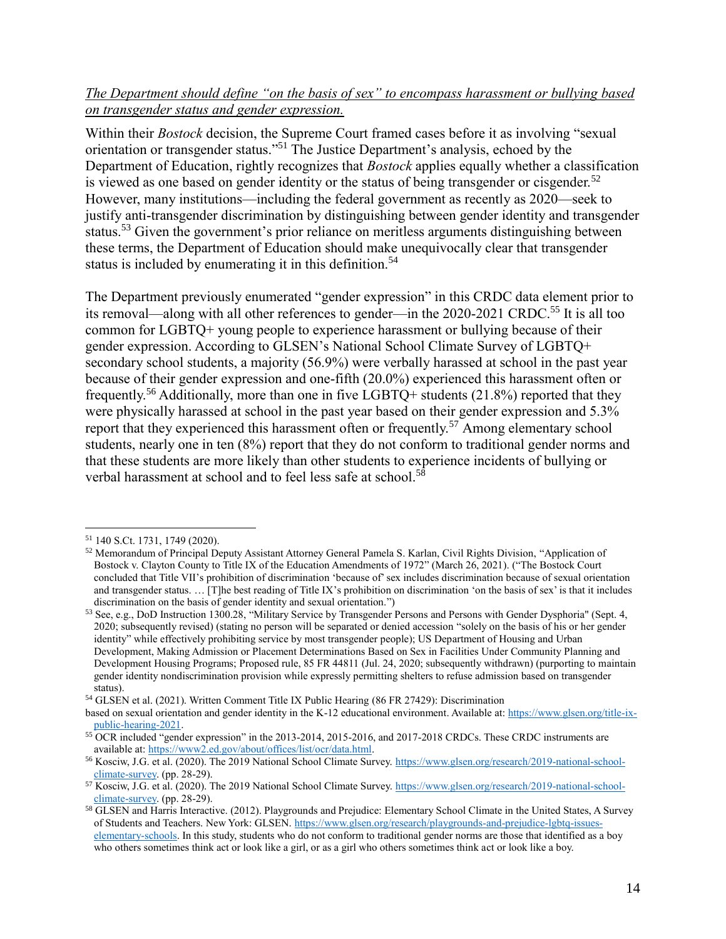## *The Department should define "on the basis of sex" to encompass harassment or bullying based on transgender status and gender expression.*

Within their *Bostock* decision, the Supreme Court framed cases before it as involving "sexual orientation or transgender status."<sup>51</sup> The Justice Department's analysis, echoed by the Department of Education, rightly recognizes that *Bostock* applies equally whether a classification is viewed as one based on gender identity or the status of being transgender or cisgender.<sup>52</sup> However, many institutions—including the federal government as recently as 2020—seek to justify anti-transgender discrimination by distinguishing between gender identity and transgender status.<sup>53</sup> Given the government's prior reliance on meritless arguments distinguishing between these terms, the Department of Education should make unequivocally clear that transgender status is included by enumerating it in this definition.<sup>54</sup>

The Department previously enumerated "gender expression" in this CRDC data element prior to its removal—along with all other references to gender—in the 2020-2021 CRDC.<sup>55</sup> It is all too common for LGBTQ+ young people to experience harassment or bullying because of their gender expression. According to GLSEN's National School Climate Survey of LGBTQ+ secondary school students, a majority (56.9%) were verbally harassed at school in the past year because of their gender expression and one-fifth (20.0%) experienced this harassment often or frequently.<sup>56</sup> Additionally, more than one in five LGBTQ+ students (21.8%) reported that they were physically harassed at school in the past year based on their gender expression and 5.3% report that they experienced this harassment often or frequently.<sup>57</sup> Among elementary school students, nearly one in ten (8%) report that they do not conform to traditional gender norms and that these students are more likely than other students to experience incidents of bullying or verbal harassment at school and to feel less safe at school.<sup>58</sup>

 $\overline{a}$ 

<sup>54</sup> GLSEN et al. (2021). Written Comment Title IX Public Hearing (86 FR 27429): Discrimination

<sup>51</sup> 140 S.Ct. 1731, 1749 (2020).

<sup>52</sup> Memorandum of Principal Deputy Assistant Attorney General Pamela S. Karlan, Civil Rights Division, "Application of Bostock v. Clayton County to Title IX of the Education Amendments of 1972" (March 26, 2021). ("The Bostock Court concluded that Title VII's prohibition of discrimination 'because of' sex includes discrimination because of sexual orientation and transgender status. … [T]he best reading of Title IX's prohibition on discrimination 'on the basis of sex' is that it includes discrimination on the basis of gender identity and sexual orientation.")

<sup>53</sup> See, e.g., DoD Instruction 1300.28, "Military Service by Transgender Persons and Persons with Gender Dysphoria" (Sept. 4, 2020; subsequently revised) (stating no person will be separated or denied accession "solely on the basis of his or her gender identity" while effectively prohibiting service by most transgender people); US Department of Housing and Urban Development, Making Admission or Placement Determinations Based on Sex in Facilities Under Community Planning and Development Housing Programs; Proposed rule, 85 FR 44811 (Jul. 24, 2020; subsequently withdrawn) (purporting to maintain gender identity nondiscrimination provision while expressly permitting shelters to refuse admission based on transgender status).

based on sexual orientation and gender identity in the K-12 educational environment. Available at[: https://www.glsen.org/title-ix](https://www.glsen.org/title-ix-public-hearing-2021)[public-hearing-2021.](https://www.glsen.org/title-ix-public-hearing-2021)

<sup>&</sup>lt;sup>55</sup> OCR included "gender expression" in the 2013-2014, 2015-2016, and 2017-2018 CRDCs. These CRDC instruments are available at: [https://www2.ed.gov/about/offices/list/ocr/data.html.](https://www2.ed.gov/about/offices/list/ocr/data.html)

<sup>56</sup> Kosciw, J.G. et al. (2020). The 2019 National School Climate Survey[. https://www.glsen.org/research/2019-national-school](https://www.glsen.org/research/2019-national-school-climate-survey)[climate-survey.](https://www.glsen.org/research/2019-national-school-climate-survey) (pp. 28-29).

<sup>57</sup> Kosciw, J.G. et al. (2020). The 2019 National School Climate Survey[. https://www.glsen.org/research/2019-national-school](https://www.glsen.org/research/2019-national-school-climate-survey)[climate-survey.](https://www.glsen.org/research/2019-national-school-climate-survey) (pp. 28-29).

<sup>58</sup> GLSEN and Harris Interactive. (2012). Playgrounds and Prejudice: Elementary School Climate in the United States, A Survey of Students and Teachers. New York: GLSEN[. https://www.glsen.org/research/playgrounds-and-prejudice-lgbtq-issues](https://www.glsen.org/research/playgrounds-and-prejudice-lgbtq-issues-elementary-schools)[elementary-schools.](https://www.glsen.org/research/playgrounds-and-prejudice-lgbtq-issues-elementary-schools) In this study, students who do not conform to traditional gender norms are those that identified as a boy who others sometimes think act or look like a girl, or as a girl who others sometimes think act or look like a boy.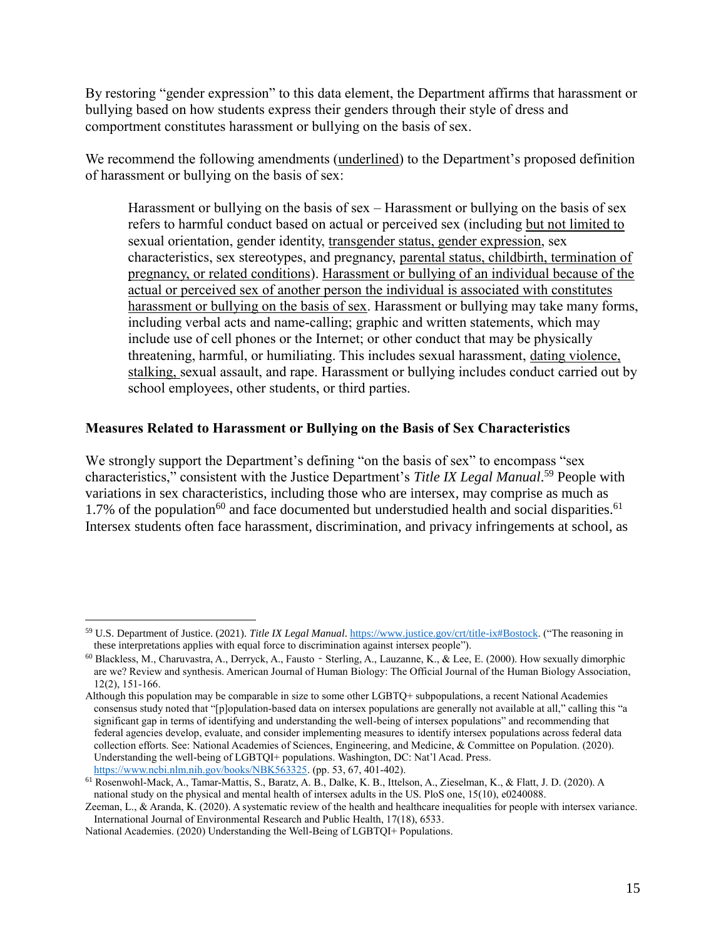By restoring "gender expression" to this data element, the Department affirms that harassment or bullying based on how students express their genders through their style of dress and comportment constitutes harassment or bullying on the basis of sex.

We recommend the following amendments (underlined) to the Department's proposed definition of harassment or bullying on the basis of sex:

Harassment or bullying on the basis of sex – Harassment or bullying on the basis of sex refers to harmful conduct based on actual or perceived sex (including but not limited to sexual orientation, gender identity, transgender status, gender expression, sex characteristics, sex stereotypes, and pregnancy, parental status, childbirth, termination of pregnancy, or related conditions). Harassment or bullying of an individual because of the actual or perceived sex of another person the individual is associated with constitutes harassment or bullying on the basis of sex. Harassment or bullying may take many forms, including verbal acts and name-calling; graphic and written statements, which may include use of cell phones or the Internet; or other conduct that may be physically threatening, harmful, or humiliating. This includes sexual harassment, dating violence, stalking, sexual assault, and rape. Harassment or bullying includes conduct carried out by school employees, other students, or third parties.

#### **Measures Related to Harassment or Bullying on the Basis of Sex Characteristics**

We strongly support the Department's defining "on the basis of sex" to encompass "sex" characteristics," consistent with the Justice Department's *Title IX Legal Manual*. <sup>59</sup> People with variations in sex characteristics, including those who are intersex, may comprise as much as 1.7% of the population<sup>60</sup> and face documented but understudied health and social disparities.<sup>61</sup> Intersex students often face harassment, discrimination, and privacy infringements at school, as

<sup>59</sup> U.S. Department of Justice. (2021). *Title IX Legal Manual*[. https://www.justice.gov/crt/title-ix#Bostock.](https://www.justice.gov/crt/title-ix%23Bostock) ("The reasoning in these interpretations applies with equal force to discrimination against intersex people").

<sup>60</sup> Blackless, M., Charuvastra, A., Derryck, A., Fausto‐Sterling, A., Lauzanne, K., & Lee, E. (2000). How sexually dimorphic are we? Review and synthesis. American Journal of Human Biology: The Official Journal of the Human Biology Association, 12(2), 151-166.

Although this population may be comparable in size to some other LGBTQ+ subpopulations, a recent National Academies consensus study noted that "[p]opulation-based data on intersex populations are generally not available at all," calling this "a significant gap in terms of identifying and understanding the well-being of intersex populations" and recommending that federal agencies develop, evaluate, and consider implementing measures to identify intersex populations across federal data collection efforts. See: National Academies of Sciences, Engineering, and Medicine, & Committee on Population. (2020). Understanding the well-being of LGBTQI+ populations. Washington, DC: Nat'l Acad. Press. [https://www.ncbi.nlm.nih.gov/books/NBK563325.](https://www.ncbi.nlm.nih.gov/books/NBK563325) (pp. 53, 67, 401-402).

<sup>61</sup> Rosenwohl-Mack, A., Tamar-Mattis, S., Baratz, A. B., Dalke, K. B., Ittelson, A., Zieselman, K., & Flatt, J. D. (2020). A national study on the physical and mental health of intersex adults in the US. PloS one, 15(10), e0240088.

Zeeman, L., & Aranda, K. (2020). A systematic review of the health and healthcare inequalities for people with intersex variance. International Journal of Environmental Research and Public Health, 17(18), 6533.

National Academies. (2020) Understanding the Well-Being of LGBTQI+ Populations.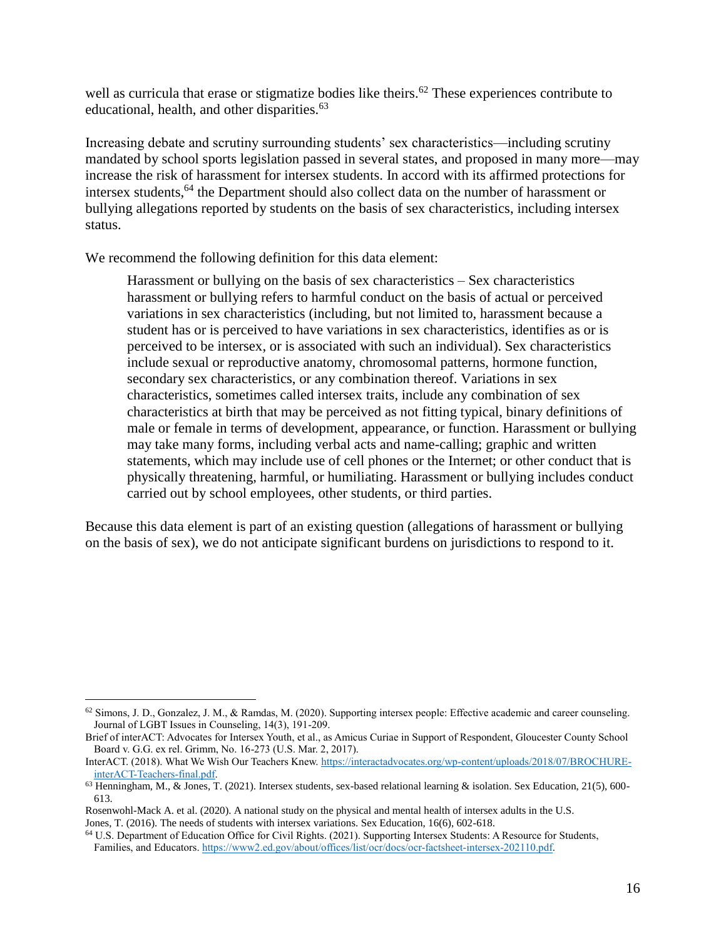well as curricula that erase or stigmatize bodies like theirs.<sup>62</sup> These experiences contribute to educational, health, and other disparities. $63$ 

Increasing debate and scrutiny surrounding students' sex characteristics—including scrutiny mandated by school sports legislation passed in several states, and proposed in many more—may increase the risk of harassment for intersex students. In accord with its affirmed protections for intersex students,<sup>64</sup> the Department should also collect data on the number of harassment or bullying allegations reported by students on the basis of sex characteristics, including intersex status.

We recommend the following definition for this data element:

 $\overline{a}$ 

Harassment or bullying on the basis of sex characteristics – Sex characteristics harassment or bullying refers to harmful conduct on the basis of actual or perceived variations in sex characteristics (including, but not limited to, harassment because a student has or is perceived to have variations in sex characteristics, identifies as or is perceived to be intersex, or is associated with such an individual). Sex characteristics include sexual or reproductive anatomy, chromosomal patterns, hormone function, secondary sex characteristics, or any combination thereof. Variations in sex characteristics, sometimes called intersex traits, include any combination of sex characteristics at birth that may be perceived as not fitting typical, binary definitions of male or female in terms of development, appearance, or function. Harassment or bullying may take many forms, including verbal acts and name-calling; graphic and written statements, which may include use of cell phones or the Internet; or other conduct that is physically threatening, harmful, or humiliating. Harassment or bullying includes conduct carried out by school employees, other students, or third parties.

Because this data element is part of an existing question (allegations of harassment or bullying on the basis of sex), we do not anticipate significant burdens on jurisdictions to respond to it.

 $62$  Simons, J. D., Gonzalez, J. M., & Ramdas, M. (2020). Supporting intersex people: Effective academic and career counseling. Journal of LGBT Issues in Counseling, 14(3), 191-209.

Brief of interACT: Advocates for Intersex Youth, et al., as Amicus Curiae in Support of Respondent, Gloucester County School Board v. G.G. ex rel. Grimm, No. 16-273 (U.S. Mar. 2, 2017).

InterACT. (2018). What We Wish Our Teachers Knew. [https://interactadvocates.org/wp-content/uploads/2018/07/BROCHURE](https://interactadvocates.org/wp-content/uploads/2018/07/BROCHURE-interACT-Teachers-final.pdf)[interACT-Teachers-final.pdf.](https://interactadvocates.org/wp-content/uploads/2018/07/BROCHURE-interACT-Teachers-final.pdf)

 $63$  Henningham, M., & Jones, T. (2021). Intersex students, sex-based relational learning & isolation. Sex Education, 21(5), 600-613.

Rosenwohl-Mack A. et al. (2020). A national study on the physical and mental health of intersex adults in the U.S. Jones, T. (2016). The needs of students with intersex variations. Sex Education, 16(6), 602-618.

<sup>64</sup> U.S. Department of Education Office for Civil Rights. (2021). Supporting Intersex Students: A Resource for Students, Families, and Educators[. https://www2.ed.gov/about/offices/list/ocr/docs/ocr-factsheet-intersex-202110.pdf.](https://www2.ed.gov/about/offices/list/ocr/docs/ocr-factsheet-intersex-202110.pdf)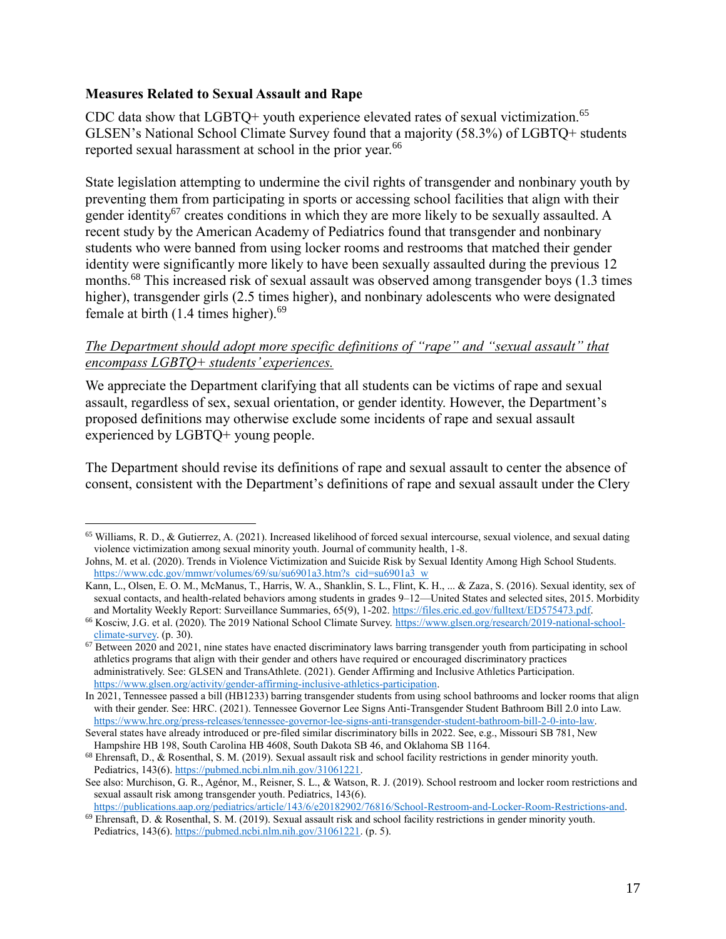#### **Measures Related to Sexual Assault and Rape**

CDC data show that  $LGBTQ+$  youth experience elevated rates of sexual victimization.<sup>65</sup> GLSEN's National School Climate Survey found that a majority (58.3%) of LGBTQ+ students reported sexual harassment at school in the prior year.<sup>66</sup>

State legislation attempting to undermine the civil rights of transgender and nonbinary youth by preventing them from participating in sports or accessing school facilities that align with their gender identity<sup>67</sup> creates conditions in which they are more likely to be sexually assaulted. A recent study by the American Academy of Pediatrics found that transgender and nonbinary students who were banned from using locker rooms and restrooms that matched their gender identity were significantly more likely to have been sexually assaulted during the previous 12 months.<sup>68</sup> This increased risk of sexual assault was observed among transgender boys (1.3 times higher), transgender girls (2.5 times higher), and nonbinary adolescents who were designated female at birth  $(1.4 \text{ times higher})$ .<sup>69</sup>

# *The Department should adopt more specific definitions of "rape" and "sexual assault" that encompass LGBTQ+ students' experiences.*

We appreciate the Department clarifying that all students can be victims of rape and sexual assault, regardless of sex, sexual orientation, or gender identity. However, the Department's proposed definitions may otherwise exclude some incidents of rape and sexual assault experienced by LGBTQ+ young people.

The Department should revise its definitions of rape and sexual assault to center the absence of consent, consistent with the Department's definitions of rape and sexual assault under the Clery

<sup>65</sup> Williams, R. D., & Gutierrez, A. (2021). Increased likelihood of forced sexual intercourse, sexual violence, and sexual dating violence victimization among sexual minority youth. Journal of community health, 1-8.

Johns, M. et al. (2020). Trends in Violence Victimization and Suicide Risk by Sexual Identity Among High School Students. [https://www.cdc.gov/mmwr/volumes/69/su/su6901a3.htm?s\\_cid=su6901a3\\_w](https://www.cdc.gov/mmwr/volumes/69/su/su6901a3.htm?s_cid=su6901a3_w)

Kann, L., Olsen, E. O. M., McManus, T., Harris, W. A., Shanklin, S. L., Flint, K. H., ... & Zaza, S. (2016). Sexual identity, sex of sexual contacts, and health-related behaviors among students in grades 9–12—United States and selected sites, 2015. Morbidity and Mortality Weekly Report: Surveillance Summaries, 65(9), 1-202. [https://files.eric.ed.gov/fulltext/ED575473.pdf.](https://files.eric.ed.gov/fulltext/ED575473.pdf)

<sup>66</sup> Kosciw, J.G. et al. (2020). The 2019 National School Climate Survey[. https://www.glsen.org/research/2019-national-school](https://www.glsen.org/research/2019-national-school-climate-survey)[climate-survey.](https://www.glsen.org/research/2019-national-school-climate-survey) (p. 30).

 $67$  Between 2020 and 2021, nine states have enacted discriminatory laws barring transgender youth from participating in school athletics programs that align with their gender and others have required or encouraged discriminatory practices administratively. See: GLSEN and TransAthlete. (2021). Gender Affirming and Inclusive Athletics Participation. [https://www.glsen.org/activity/gender-affirming-inclusive-athletics-participation.](https://www.glsen.org/activity/gender-affirming-inclusive-athletics-participation) 

In 2021, Tennessee passed a bill (HB1233) barring transgender students from using school bathrooms and locker rooms that align with their gender. See: HRC. (2021). Tennessee Governor Lee Signs Anti-Transgender Student Bathroom Bill 2.0 into Law. [https://www.hrc.org/press-releases/tennessee-governor-lee-signs-anti-transgender-student-bathroom-bill-2-0-into-law.](https://www.hrc.org/press-releases/tennessee-governor-lee-signs-anti-transgender-student-bathroom-bill-2-0-into-law) 

Several states have already introduced or pre-filed similar discriminatory bills in 2022. See, e.g., Missouri SB 781, New Hampshire HB 198, South Carolina HB 4608, South Dakota SB 46, and Oklahoma SB 1164.

<sup>68</sup> Ehrensaft, D., & Rosenthal, S. M. (2019). Sexual assault risk and school facility restrictions in gender minority youth. Pediatrics, 143(6)[. https://pubmed.ncbi.nlm.nih.gov/31061221.](https://pubmed.ncbi.nlm.nih.gov/31061221)

See also: Murchison, G. R., Agénor, M., Reisner, S. L., & Watson, R. J. (2019). School restroom and locker room restrictions and sexual assault risk among transgender youth. Pediatrics, 143(6).

[https://publications.aap.org/pediatrics/article/143/6/e20182902/76816/School-Restroom-and-Locker-Room-Restrictions-and.](https://publications.aap.org/pediatrics/article/143/6/e20182902/76816/School-Restroom-and-Locker-Room-Restrictions-and)  $69$  Ehrensaft, D. & Rosenthal, S. M. (2019). Sexual assault risk and school facility restrictions in gender minority youth.

Pediatrics, 143(6)[. https://pubmed.ncbi.nlm.nih.gov/31061221.](https://pubmed.ncbi.nlm.nih.gov/31061221) (p. 5).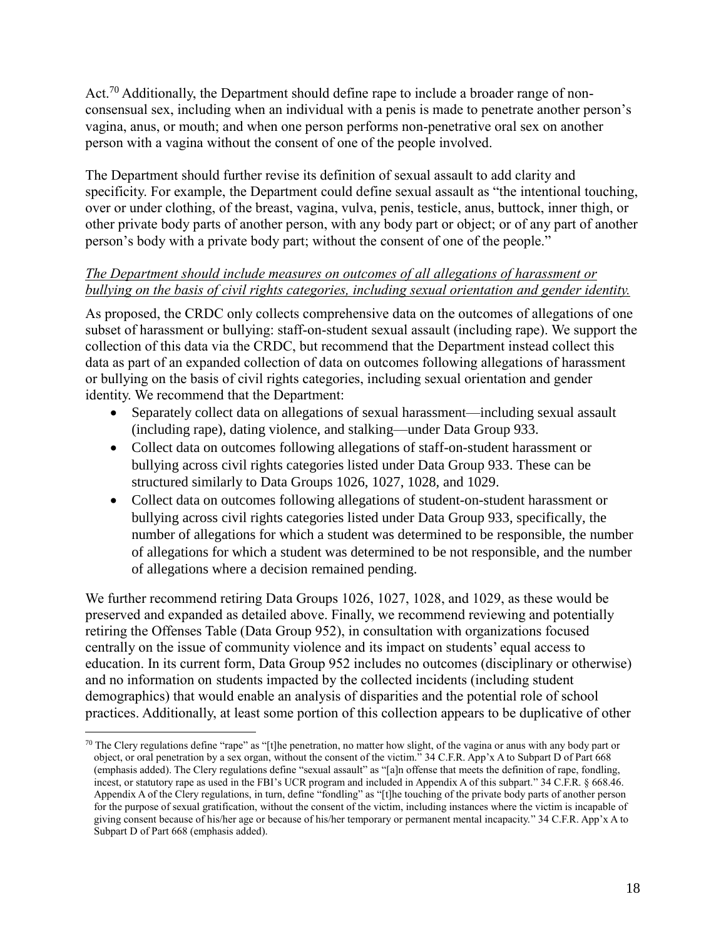Act.<sup>70</sup> Additionally, the Department should define rape to include a broader range of nonconsensual sex, including when an individual with a penis is made to penetrate another person's vagina, anus, or mouth; and when one person performs non-penetrative oral sex on another person with a vagina without the consent of one of the people involved.

The Department should further revise its definition of sexual assault to add clarity and specificity. For example, the Department could define sexual assault as "the intentional touching, over or under clothing, of the breast, vagina, vulva, penis, testicle, anus, buttock, inner thigh, or other private body parts of another person, with any body part or object; or of any part of another person's body with a private body part; without the consent of one of the people."

# *The Department should include measures on outcomes of all allegations of harassment or bullying on the basis of civil rights categories, including sexual orientation and gender identity.*

As proposed, the CRDC only collects comprehensive data on the outcomes of allegations of one subset of harassment or bullying: staff-on-student sexual assault (including rape). We support the collection of this data via the CRDC, but recommend that the Department instead collect this data as part of an expanded collection of data on outcomes following allegations of harassment or bullying on the basis of civil rights categories, including sexual orientation and gender identity. We recommend that the Department:

- Separately collect data on allegations of sexual harassment—including sexual assault (including rape), dating violence, and stalking—under Data Group 933.
- Collect data on outcomes following allegations of staff-on-student harassment or bullying across civil rights categories listed under Data Group 933. These can be structured similarly to Data Groups 1026, 1027, 1028, and 1029.
- Collect data on outcomes following allegations of student-on-student harassment or bullying across civil rights categories listed under Data Group 933, specifically, the number of allegations for which a student was determined to be responsible, the number of allegations for which a student was determined to be not responsible, and the number of allegations where a decision remained pending.

We further recommend retiring Data Groups 1026, 1027, 1028, and 1029, as these would be preserved and expanded as detailed above. Finally, we recommend reviewing and potentially retiring the Offenses Table (Data Group 952), in consultation with organizations focused centrally on the issue of community violence and its impact on students' equal access to education. In its current form, Data Group 952 includes no outcomes (disciplinary or otherwise) and no information on students impacted by the collected incidents (including student demographics) that would enable an analysis of disparities and the potential role of school practices. Additionally, at least some portion of this collection appears to be duplicative of other

<sup>&</sup>lt;sup>70</sup> The Clery regulations define "rape" as "[t]he penetration, no matter how slight, of the vagina or anus with any body part or object, or oral penetration by a sex organ, without the consent of the victim." 34 C.F.R. App'x A to Subpart D of Part 668 (emphasis added). The Clery regulations define "sexual assault" as "[a]n offense that meets the definition of rape, fondling, incest, or statutory rape as used in the FBI's UCR program and included in Appendix A of this subpart." 34 C.F.R. § 668.46. Appendix A of the Clery regulations, in turn, define "fondling" as "[t]he touching of the private body parts of another person for the purpose of sexual gratification, without the consent of the victim, including instances where the victim is incapable of giving consent because of his/her age or because of his/her temporary or permanent mental incapacity." 34 C.F.R. App'x A to Subpart D of Part 668 (emphasis added).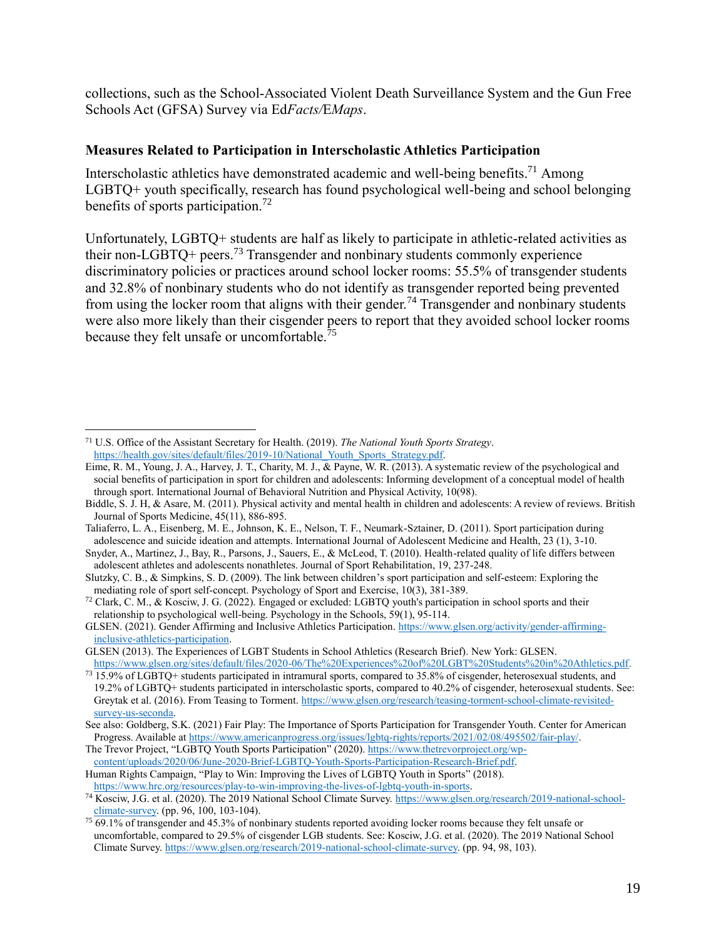collections, such as the School-Associated Violent Death Surveillance System and the Gun Free Schools Act (GFSA) Survey via Ed*Facts/*E*Maps*.

### **Measures Related to Participation in Interscholastic Athletics Participation**

Interscholastic athletics have demonstrated academic and well-being benefits.<sup>71</sup> Among LGBTQ+ youth specifically, research has found psychological well-being and school belonging benefits of sports participation.<sup>72</sup>

Unfortunately, LGBTQ+ students are half as likely to participate in athletic-related activities as their non-LGBTQ+ peers.<sup>73</sup> Transgender and nonbinary students commonly experience discriminatory policies or practices around school locker rooms: 55.5% of transgender students and 32.8% of nonbinary students who do not identify as transgender reported being prevented from using the locker room that aligns with their gender.<sup>74</sup> Transgender and nonbinary students were also more likely than their cisgender peers to report that they avoided school locker rooms because they felt unsafe or uncomfortable.<sup>75</sup>

 $\overline{a}$ 

Human Rights Campaign, "Play to Win: Improving the Lives of LGBTQ Youth in Sports" (2018). [https://www.hrc.org/resources/play-to-win-improving-the-lives-of-lgbtq-youth-in-sports.](https://www.hrc.org/resources/play-to-win-improving-the-lives-of-lgbtq-youth-in-sports)

<sup>71</sup> U.S. Office of the Assistant Secretary for Health. (2019). *The National Youth Sports Strategy*. [https://health.gov/sites/default/files/2019-10/National\\_Youth\\_Sports\\_Strategy.pdf.](https://health.gov/sites/default/files/2019-10/National_Youth_Sports_Strategy.pdf)

Eime, R. M., Young, J. A., Harvey, J. T., Charity, M. J., & Payne, W. R. (2013). A systematic review of the psychological and social benefits of participation in sport for children and adolescents: Informing development of a conceptual model of health through sport. International Journal of Behavioral Nutrition and Physical Activity, 10(98).

Biddle, S. J. H, & Asare, M. (2011). Physical activity and mental health in children and adolescents: A review of reviews. British Journal of Sports Medicine, 45(11), 886-895.

Taliaferro, L. A., Eisenberg, M. E., Johnson, K. E., Nelson, T. F., Neumark-Sztainer, D. (2011). Sport participation during adolescence and suicide ideation and attempts. International Journal of Adolescent Medicine and Health, 23 (1), 3-10.

Snyder, A., Martinez, J., Bay, R., Parsons, J., Sauers, E., & McLeod, T. (2010). Health-related quality of life differs between adolescent athletes and adolescents nonathletes. Journal of Sport Rehabilitation, 19, 237-248.

Slutzky, C. B., & Simpkins, S. D. (2009). The link between children's sport participation and self-esteem: Exploring the mediating role of sport self-concept. Psychology of Sport and Exercise, 10(3), 381-389.

<sup>72</sup> Clark, C. M., & Kosciw, J. G. (2022). Engaged or excluded: LGBTQ youth's participation in school sports and their relationship to psychological well-being. Psychology in the Schools, 59(1), 95-114.

GLSEN. (2021). Gender Affirming and Inclusive Athletics Participation. [https://www.glsen.org/activity/gender-affirming](https://www.glsen.org/activity/gender-affirming-inclusive-athletics-participation)[inclusive-athletics-participation.](https://www.glsen.org/activity/gender-affirming-inclusive-athletics-participation)

GLSEN (2013). The Experiences of LGBT Students in School Athletics (Research Brief). New York: GLSEN. [https://www.glsen.org/sites/default/files/2020-06/The%20Experiences%20of%20LGBT%20Students%20in%20Athletics.pdf.](https://www.glsen.org/sites/default/files/2020-06/The%20Experiences%20of%20LGBT%20Students%20in%20Athletics.pdf)

 $73\overline{15.9\%}$  of LGBTQ+ students participated in intramural sports, compared to 35.8% of cisgender, heterosexual students, and 19.2% of LGBTQ+ students participated in interscholastic sports, compared to 40.2% of cisgender, heterosexual students. See: Greytak et al. (2016). From Teasing to Torment. [https://www.glsen.org/research/teasing-torment-school-climate-revisited](https://www.glsen.org/research/teasing-torment-school-climate-revisited-survey-us-seconda)[survey-us-seconda.](https://www.glsen.org/research/teasing-torment-school-climate-revisited-survey-us-seconda)

See also: Goldberg, S.K. (2021) Fair Play: The Importance of Sports Participation for Transgender Youth. Center for American Progress. Available a[t https://www.americanprogress.org/issues/lgbtq-rights/reports/2021/02/08/495502/fair-play/.](https://www.americanprogress.org/issues/lgbtq-rights/reports/2021/02/08/495502/fair-play/)

The Trevor Project, "LGBTQ Youth Sports Participation" (2020)[. https://www.thetrevorproject.org/wp](https://www.thetrevorproject.org/wp-content/uploads/2020/06/June-2020-Brief-LGBTQ-Youth-Sports-Participation-Research-Brief.pdf)[content/uploads/2020/06/June-2020-Brief-LGBTQ-Youth-Sports-Participation-Research-Brief.pdf.](https://www.thetrevorproject.org/wp-content/uploads/2020/06/June-2020-Brief-LGBTQ-Youth-Sports-Participation-Research-Brief.pdf)

<sup>74</sup> Kosciw, J.G. et al. (2020). The 2019 National School Climate Survey[. https://www.glsen.org/research/2019-national-school](https://www.glsen.org/research/2019-national-school-climate-survey)[climate-survey.](https://www.glsen.org/research/2019-national-school-climate-survey) (pp. 96, 100, 103-104).

<sup>&</sup>lt;sup>75</sup> 69.1% of transgender and 45.3% of nonbinary students reported avoiding locker rooms because they felt unsafe or uncomfortable, compared to 29.5% of cisgender LGB students. See: Kosciw, J.G. et al. (2020). The 2019 National School Climate Survey[. https://www.glsen.org/research/2019-national-school-climate-survey.](https://www.glsen.org/research/2019-national-school-climate-survey) (pp. 94, 98, 103).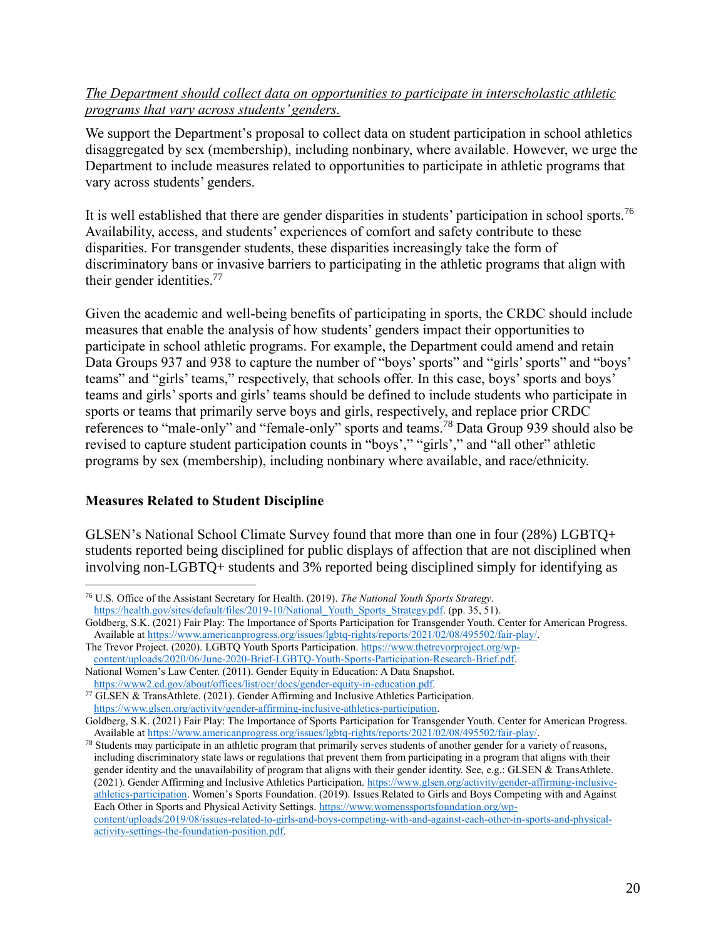# *The Department should collect data on opportunities to participate in interscholastic athletic programs that vary across students' genders.*

We support the Department's proposal to collect data on student participation in school athletics disaggregated by sex (membership), including nonbinary, where available. However, we urge the Department to include measures related to opportunities to participate in athletic programs that vary across students' genders.

It is well established that there are gender disparities in students' participation in school sports.<sup>76</sup> Availability, access, and students' experiences of comfort and safety contribute to these disparities. For transgender students, these disparities increasingly take the form of discriminatory bans or invasive barriers to participating in the athletic programs that align with their gender identities.<sup>77</sup>

Given the academic and well-being benefits of participating in sports, the CRDC should include measures that enable the analysis of how students' genders impact their opportunities to participate in school athletic programs. For example, the Department could amend and retain Data Groups 937 and 938 to capture the number of "boys' sports" and "girls' sports" and "boys' teams" and "girls' teams," respectively, that schools offer. In this case, boys' sports and boys' teams and girls' sports and girls' teams should be defined to include students who participate in sports or teams that primarily serve boys and girls, respectively, and replace prior CRDC references to "male-only" and "female-only" sports and teams.<sup>78</sup> Data Group 939 should also be revised to capture student participation counts in "boys'," "girls'," and "all other" athletic programs by sex (membership), including nonbinary where available, and race/ethnicity.

## **Measures Related to Student Discipline**

 $\overline{a}$ 

GLSEN's National School Climate Survey found that more than one in four (28%) LGBTQ+ students reported being disciplined for public displays of affection that are not disciplined when involving non-LGBTQ+ students and 3% reported being disciplined simply for identifying as

<sup>76</sup> U.S. Office of the Assistant Secretary for Health. (2019). *The National Youth Sports Strategy*. https://health.gov/sites/default/files/2019-10/National Youth Sports Strategy.pdf. (pp. 35, 51).

Goldberg, S.K. (2021) Fair Play: The Importance of Sports Participation for Transgender Youth. Center for American Progress. Available at [https://www.americanprogress.org/issues/lgbtq-rights/reports/2021/02/08/495502/fair-play/.](https://www.americanprogress.org/issues/lgbtq-rights/reports/2021/02/08/495502/fair-play/)

The Trevor Project. (2020). LGBTQ Youth Sports Participation. [https://www.thetrevorproject.org/wp](https://www.thetrevorproject.org/wp-content/uploads/2020/06/June-2020-Brief-LGBTQ-Youth-Sports-Participation-Research-Brief.pdf)[content/uploads/2020/06/June-2020-Brief-LGBTQ-Youth-Sports-Participation-Research-Brief.pdf.](https://www.thetrevorproject.org/wp-content/uploads/2020/06/June-2020-Brief-LGBTQ-Youth-Sports-Participation-Research-Brief.pdf) National Women's Law Center. (2011). Gender Equity in Education: A Data Snapshot.

[https://www2.ed.gov/about/offices/list/ocr/docs/gender-equity-in-education.pdf.](https://www2.ed.gov/about/offices/list/ocr/docs/gender-equity-in-education.pdf)

<sup>77</sup> GLSEN & TransAthlete. (2021). Gender Affirming and Inclusive Athletics Participation. [https://www.glsen.org/activity/gender-affirming-inclusive-athletics-participation.](https://www.glsen.org/activity/gender-affirming-inclusive-athletics-participation)

Goldberg, S.K. (2021) Fair Play: The Importance of Sports Participation for Transgender Youth. Center for American Progress. Available at [https://www.americanprogress.org/issues/lgbtq-rights/reports/2021/02/08/495502/fair-play/.](https://www.americanprogress.org/issues/lgbtq-rights/reports/2021/02/08/495502/fair-play/)

<sup>&</sup>lt;sup>78</sup> Students may participate in an athletic program that primarily serves students of another gender for a variety of reasons, including discriminatory state laws or regulations that prevent them from participating in a program that aligns with their gender identity and the unavailability of program that aligns with their gender identity. See, e.g.: GLSEN & TransAthlete. (2021). Gender Affirming and Inclusive Athletics Participation[. https://www.glsen.org/activity/gender-affirming-inclusive](https://www.glsen.org/activity/gender-affirming-inclusive-athletics-participation)[athletics-participation.](https://www.glsen.org/activity/gender-affirming-inclusive-athletics-participation) Women's Sports Foundation. (2019). Issues Related to Girls and Boys Competing with and Against Each Other in Sports and Physical Activity Settings. [https://www.womenssportsfoundation.org/wp](https://www.womenssportsfoundation.org/wp-content/uploads/2019/08/issues-related-to-girls-and-boys-competing-with-and-against-each-other-in-sports-and-physical-activity-settings-the-foundation-position.pdf)[content/uploads/2019/08/issues-related-to-girls-and-boys-competing-with-and-against-each-other-in-sports-and-physical](https://www.womenssportsfoundation.org/wp-content/uploads/2019/08/issues-related-to-girls-and-boys-competing-with-and-against-each-other-in-sports-and-physical-activity-settings-the-foundation-position.pdf)[activity-settings-the-foundation-position.pdf.](https://www.womenssportsfoundation.org/wp-content/uploads/2019/08/issues-related-to-girls-and-boys-competing-with-and-against-each-other-in-sports-and-physical-activity-settings-the-foundation-position.pdf)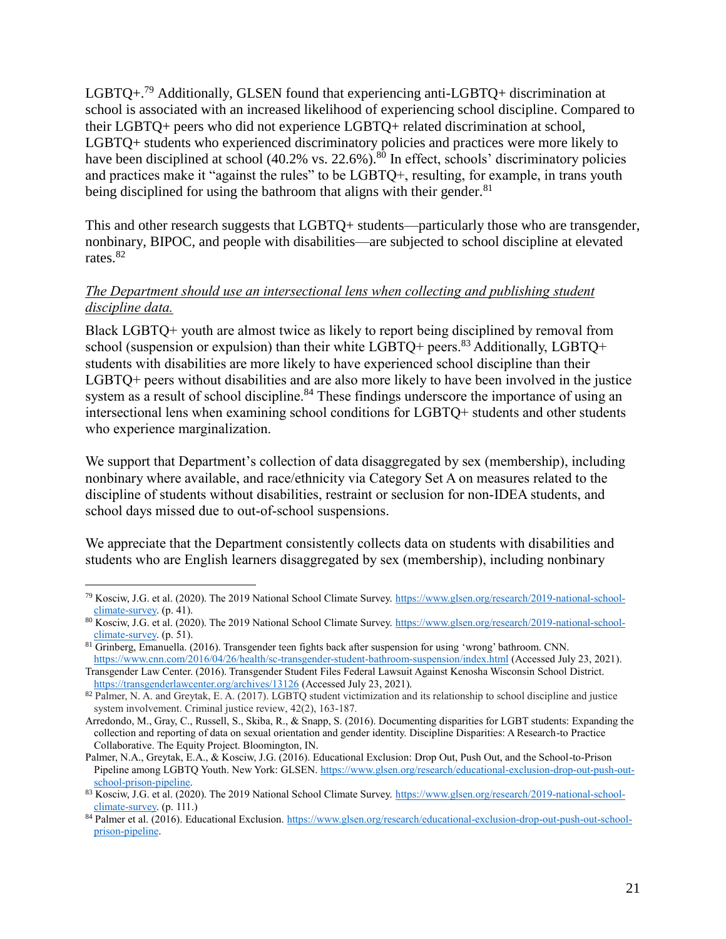LGBTQ+.<sup>79</sup> Additionally, GLSEN found that experiencing anti-LGBTQ+ discrimination at school is associated with an increased likelihood of experiencing school discipline. Compared to their LGBTQ+ peers who did not experience LGBTQ+ related discrimination at school, LGBTQ+ students who experienced discriminatory policies and practices were more likely to have been disciplined at school (40.2% vs. 22.6%).<sup>80</sup> In effect, schools' discriminatory policies and practices make it "against the rules" to be LGBTQ+, resulting, for example, in trans youth being disciplined for using the bathroom that aligns with their gender.<sup>81</sup>

This and other research suggests that LGBTQ+ students—particularly those who are transgender, nonbinary, BIPOC, and people with disabilities—are subjected to school discipline at elevated rates. 82

# *The Department should use an intersectional lens when collecting and publishing student discipline data.*

Black LGBTQ+ youth are almost twice as likely to report being disciplined by removal from school (suspension or expulsion) than their white  $LGBTQ +$  peers.<sup>83</sup> Additionally,  $LGBTQ +$ students with disabilities are more likely to have experienced school discipline than their LGBTQ+ peers without disabilities and are also more likely to have been involved in the justice system as a result of school discipline.<sup>84</sup> These findings underscore the importance of using an intersectional lens when examining school conditions for LGBTQ+ students and other students who experience marginalization.

We support that Department's collection of data disaggregated by sex (membership), including nonbinary where available, and race/ethnicity via Category Set A on measures related to the discipline of students without disabilities, restraint or seclusion for non-IDEA students, and school days missed due to out-of-school suspensions.

We appreciate that the Department consistently collects data on students with disabilities and students who are English learners disaggregated by sex (membership), including nonbinary

<sup>79</sup> Kosciw, J.G. et al. (2020). The 2019 National School Climate Survey[. https://www.glsen.org/research/2019-national-school](https://www.glsen.org/research/2019-national-school-climate-survey)[climate-survey.](https://www.glsen.org/research/2019-national-school-climate-survey) (p. 41).

<sup>80</sup> Kosciw, J.G. et al. (2020). The 2019 National School Climate Survey[. https://www.glsen.org/research/2019-national-school](https://www.glsen.org/research/2019-national-school-climate-survey)[climate-survey.](https://www.glsen.org/research/2019-national-school-climate-survey) (p. 51).

<sup>81</sup> Grinberg, Emanuella. (2016). Transgender teen fights back after suspension for using 'wrong' bathroom. CNN. <https://www.cnn.com/2016/04/26/health/sc-transgender-student-bathroom-suspension/index.html> (Accessed July 23, 2021).

Transgender Law Center. (2016). Transgender Student Files Federal Lawsuit Against Kenosha Wisconsin School District. <https://transgenderlawcenter.org/archives/13126> (Accessed July 23, 2021).

 $82$  Palmer, N. A. and Greytak, E. A. (2017). LGBTQ student victimization and its relationship to school discipline and justice system involvement. Criminal justice review, 42(2), 163-187.

Arredondo, M., Gray, C., Russell, S., Skiba, R., & Snapp, S. (2016). Documenting disparities for LGBT students: Expanding the collection and reporting of data on sexual orientation and gender identity. Discipline Disparities: A Research-to Practice Collaborative. The Equity Project. Bloomington, IN.

Palmer, N.A., Greytak, E.A., & Kosciw, J.G. (2016). Educational Exclusion: Drop Out, Push Out, and the School-to-Prison Pipeline among LGBTQ Youth. New York: GLSEN[. https://www.glsen.org/research/educational-exclusion-drop-out-push-out](https://www.glsen.org/research/educational-exclusion-drop-out-push-out-school-prison-pipeline)[school-prison-pipeline.](https://www.glsen.org/research/educational-exclusion-drop-out-push-out-school-prison-pipeline)

<sup>83</sup> Kosciw, J.G. et al. (2020). The 2019 National School Climate Survey[. https://www.glsen.org/research/2019-national-school](https://www.glsen.org/research/2019-national-school-climate-survey)[climate-survey.](https://www.glsen.org/research/2019-national-school-climate-survey) (p. 111.)

<sup>84</sup> Palmer et al. (2016). Educational Exclusion. [https://www.glsen.org/research/educational-exclusion-drop-out-push-out-school](https://www.glsen.org/research/educational-exclusion-drop-out-push-out-school-prison-pipeline)[prison-pipeline.](https://www.glsen.org/research/educational-exclusion-drop-out-push-out-school-prison-pipeline)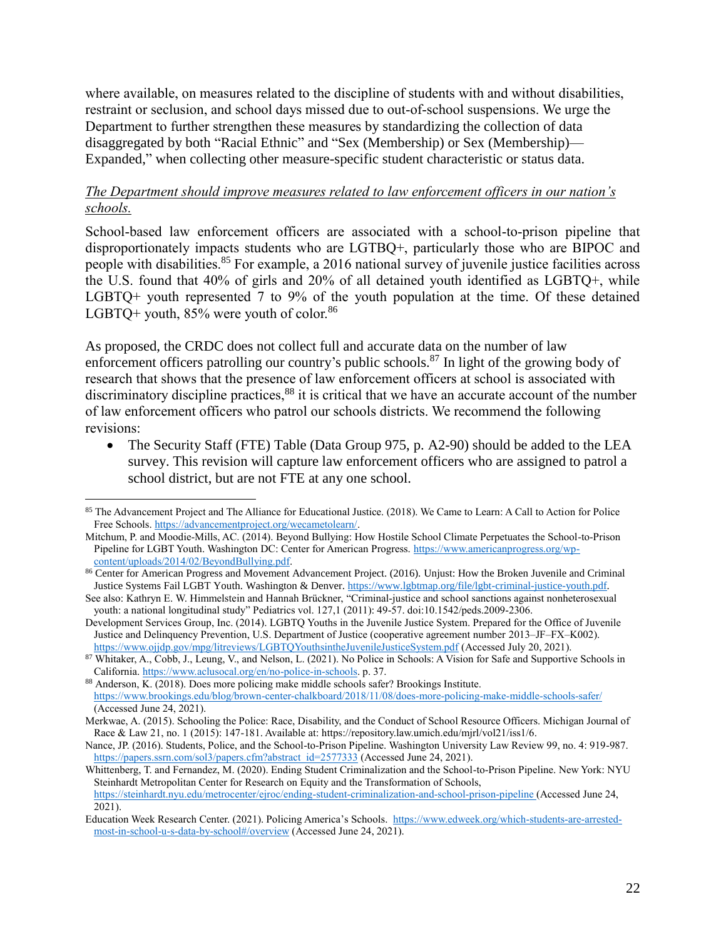where available, on measures related to the discipline of students with and without disabilities, restraint or seclusion, and school days missed due to out-of-school suspensions. We urge the Department to further strengthen these measures by standardizing the collection of data disaggregated by both "Racial Ethnic" and "Sex (Membership) or Sex (Membership)— Expanded," when collecting other measure-specific student characteristic or status data.

### *The Department should improve measures related to law enforcement officers in our nation's schools.*

School-based law enforcement officers are associated with a school-to-prison pipeline that disproportionately impacts students who are LGTBQ+, particularly those who are BIPOC and people with disabilities.<sup>85</sup> For example, a 2016 national survey of juvenile justice facilities across the U.S. found that 40% of girls and 20% of all detained youth identified as LGBTQ+, while LGBTQ+ youth represented 7 to 9% of the youth population at the time. Of these detained LGBTQ+ youth,  $85\%$  were youth of color.<sup>86</sup>

As proposed, the CRDC does not collect full and accurate data on the number of law enforcement officers patrolling our country's public schools.<sup>87</sup> In light of the growing body of research that shows that the presence of law enforcement officers at school is associated with discriminatory discipline practices,<sup>88</sup> it is critical that we have an accurate account of the number of law enforcement officers who patrol our schools districts. We recommend the following revisions:

• The Security Staff (FTE) Table (Data Group 975, p. A2-90) should be added to the LEA survey. This revision will capture law enforcement officers who are assigned to patrol a school district, but are not FTE at any one school.

<sup>85</sup> The Advancement Project and The Alliance for Educational Justice. (2018). We Came to Learn: A Call to Action for Police Free Schools[. https://advancementproject.org/wecametolearn/.](https://advancementproject.org/wecametolearn/)

Mitchum, P. and Moodie-Mills, AC. (2014). Beyond Bullying: How Hostile School Climate Perpetuates the School-to-Prison Pipeline for LGBT Youth. Washington DC: Center for American Progress. [https://www.americanprogress.org/wp](https://www.americanprogress.org/wp-content/uploads/2014/02/BeyondBullying.pdf)[content/uploads/2014/02/BeyondBullying.pdf.](https://www.americanprogress.org/wp-content/uploads/2014/02/BeyondBullying.pdf)

<sup>86</sup> Center for American Progress and Movement Advancement Project. (2016). Unjust: How the Broken Juvenile and Criminal Justice Systems Fail LGBT Youth. Washington & Denver. [https://www.lgbtmap.org/file/lgbt-criminal-justice-youth.pdf.](https://www.lgbtmap.org/file/lgbt-criminal-justice-youth.pdf)

See also: Kathryn E. W. Himmelstein and Hannah Brückner, "Criminal-justice and school sanctions against nonheterosexual youth: a national longitudinal study" Pediatrics vol. 127,1 (2011): 49-57. doi:10.1542/peds.2009-2306.

Development Services Group, Inc. (2014). LGBTQ Youths in the Juvenile Justice System. Prepared for the Office of Juvenile Justice and Delinquency Prevention, U.S. Department of Justice (cooperative agreement number 2013–JF–FX–K002). <https://www.ojjdp.gov/mpg/litreviews/LGBTQYouthsintheJuvenileJusticeSystem.pdf> (Accessed July 20, 2021).

<sup>87</sup> Whitaker, A., Cobb, J., Leung, V., and Nelson, L. (2021). No Police in Schools: A Vision for Safe and Supportive Schools in California. [https://www.aclusocal.org/en/no-police-in-schools.](https://www.aclusocal.org/en/no-police-in-schools) p. 37.

<sup>88</sup> Anderson, K. (2018). Does more policing make middle schools safer? Brookings Institute. <https://www.brookings.edu/blog/brown-center-chalkboard/2018/11/08/does-more-policing-make-middle-schools-safer/> (Accessed June 24, 2021).

Merkwae, A. (2015). Schooling the Police: Race, Disability, and the Conduct of School Resource Officers. Michigan Journal of Race & Law 21, no. 1 (2015): 147-181. Available at: https://repository.law.umich.edu/mjrl/vol21/iss1/6.

Nance, JP. (2016). Students, Police, and the School-to-Prison Pipeline. Washington University Law Review 99, no. 4: 919-987. [https://papers.ssrn.com/sol3/papers.cfm?abstract\\_id=2577333](https://papers.ssrn.com/sol3/papers.cfm?abstract_id=2577333) (Accessed June 24, 2021).

Whittenberg, T. and Fernandez, M. (2020). Ending Student Criminalization and the School-to-Prison Pipeline. New York: NYU Steinhardt Metropolitan Center for Research on Equity and the Transformation of Schools, <https://steinhardt.nyu.edu/metrocenter/ejroc/ending-student-criminalization-and-school-prison-pipeline> (Accessed June 24, 2021).

Education Week Research Center. (2021). Policing America's Schools. [https://www.edweek.org/which-students-are-arrested](https://www.edweek.org/which-students-are-arrested-most-in-school-u-s-data-by-school#/overview)[most-in-school-u-s-data-by-school#/overview](https://www.edweek.org/which-students-are-arrested-most-in-school-u-s-data-by-school#/overview) (Accessed June 24, 2021).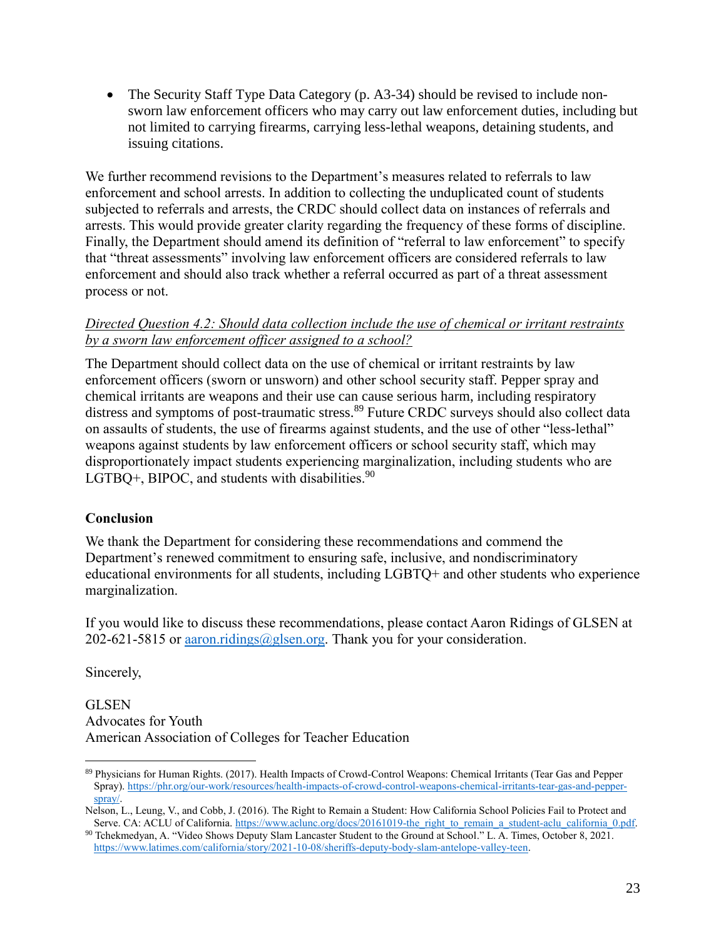The Security Staff Type Data Category (p. A3-34) should be revised to include nonsworn law enforcement officers who may carry out law enforcement duties, including but not limited to carrying firearms, carrying less-lethal weapons, detaining students, and issuing citations.

We further recommend revisions to the Department's measures related to referrals to law enforcement and school arrests. In addition to collecting the unduplicated count of students subjected to referrals and arrests, the CRDC should collect data on instances of referrals and arrests. This would provide greater clarity regarding the frequency of these forms of discipline. Finally, the Department should amend its definition of "referral to law enforcement" to specify that "threat assessments" involving law enforcement officers are considered referrals to law enforcement and should also track whether a referral occurred as part of a threat assessment process or not.

## *Directed Question 4.2: Should data collection include the use of chemical or irritant restraints by a sworn law enforcement officer assigned to a school?*

The Department should collect data on the use of chemical or irritant restraints by law enforcement officers (sworn or unsworn) and other school security staff. Pepper spray and chemical irritants are weapons and their use can cause serious harm, including respiratory distress and symptoms of post-traumatic stress.<sup>89</sup> Future CRDC surveys should also collect data on assaults of students, the use of firearms against students, and the use of other "less-lethal" weapons against students by law enforcement officers or school security staff, which may disproportionately impact students experiencing marginalization, including students who are LGTBO $+$ , BIPOC, and students with disabilities.<sup>90</sup>

# **Conclusion**

We thank the Department for considering these recommendations and commend the Department's renewed commitment to ensuring safe, inclusive, and nondiscriminatory educational environments for all students, including LGBTQ+ and other students who experience marginalization.

If you would like to discuss these recommendations, please contact Aaron Ridings of GLSEN at 202-621-5815 or [aaron.ridings@glsen.org.](mailto:aaron.ridings@glsen.org) Thank you for your consideration.

Sincerely,

**GLSEN** Advocates for Youth American Association of Colleges for Teacher Education

 $\overline{a}$ <sup>89</sup> Physicians for Human Rights. (2017). Health Impacts of Crowd-Control Weapons: Chemical Irritants (Tear Gas and Pepper Spray)[. https://phr.org/our-work/resources/health-impacts-of-crowd-control-weapons-chemical-irritants-tear-gas-and-pepper](https://phr.org/our-work/resources/health-impacts-of-crowd-control-weapons-chemical-irritants-tear-gas-and-pepper-spray/)[spray/.](https://phr.org/our-work/resources/health-impacts-of-crowd-control-weapons-chemical-irritants-tear-gas-and-pepper-spray/)

Nelson, L., Leung, V., and Cobb, J. (2016). The Right to Remain a Student: How California School Policies Fail to Protect and Serve. CA: ACLU of California[. https://www.aclunc.org/docs/20161019-the\\_right\\_to\\_remain\\_a\\_student-aclu\\_california\\_0.pdf.](https://www.aclunc.org/docs/20161019-the_right_to_remain_a_student-aclu_california_0.pdf)

<sup>90</sup> Tchekmedyan, A. "Video Shows Deputy Slam Lancaster Student to the Ground at School." L. A. Times, October 8, 2021. [https://www.latimes.com/california/story/2021-10-08/sheriffs-deputy-body-slam-antelope-valley-teen.](https://www.latimes.com/california/story/2021-10-08/sheriffs-deputy-body-slam-antelope-valley-teen)